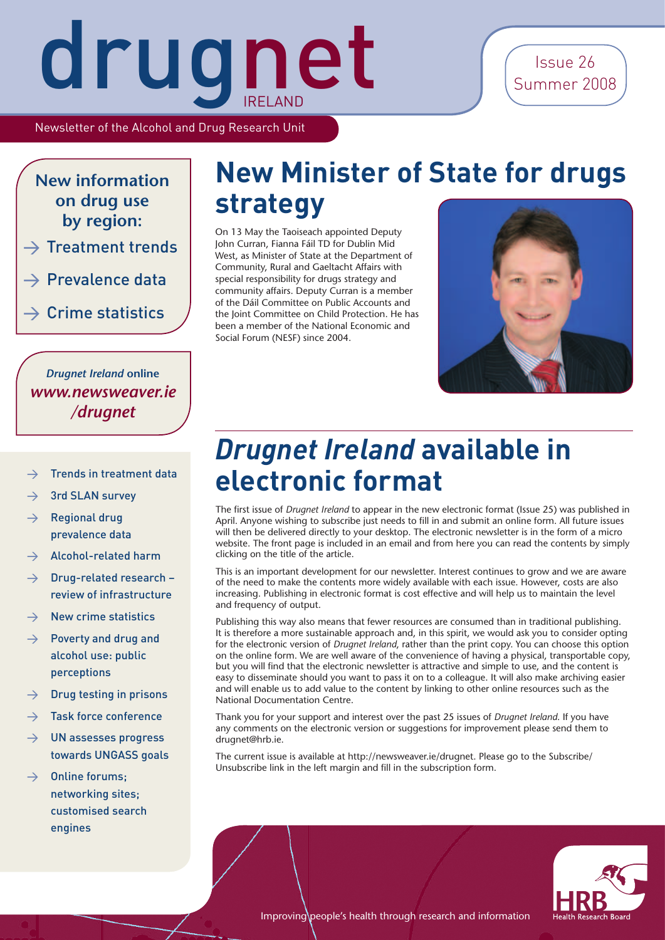Newsletter of the Alcohol and Drug Research Unit

**New information on drug use by region:**

- $\rightarrow$  Treatment trends
- $\rightarrow$  Prevalence data
- $\rightarrow$  Crime statistics

*Drugnet Ireland* **online** *www.newsweaver.ie /drugnet*

#### Trends in treatment data

- $\rightarrow$  3rd SLAN survey
- $\rightarrow$  Regional drug prevalence data
- > Alcohol-related harm
- $\rightarrow$  Drug-related research review of infrastructure
- $\rightarrow$  New crime statistics
- > Poverty and drug and alcohol use: public perceptions
- $\rightarrow$  Drug testing in prisons
- $\rightarrow$  Task force conference
- $\rightarrow$  UN assesses progress towards UNGASS goals
- $\rightarrow$  Online forums: networking sites; customised search engines

### **New Minister of State for drugs strategy**

On 13 May the Taoiseach appointed Deputy John Curran, Fianna Fáil TD for Dublin Mid West, as Minister of State at the Department of Community, Rural and Gaeltacht Affairs with special responsibility for drugs strategy and community affairs. Deputy Curran is a member of the Dáil Committee on Public Accounts and the Joint Committee on Child Protection. He has been a member of the National Economic and Social Forum (NESF) since 2004.



### *Drugnet Ireland* **available in electronic format**

The first issue of *Drugnet Ireland* to appear in the new electronic format (Issue 25) was published in April. Anyone wishing to subscribe just needs to fill in and submit an online form. All future issues will then be delivered directly to your desktop. The electronic newsletter is in the form of a micro website. The front page is included in an email and from here you can read the contents by simply clicking on the title of the article.

This is an important development for our newsletter. Interest continues to grow and we are aware of the need to make the contents more widely available with each issue. However, costs are also increasing. Publishing in electronic format is cost effective and will help us to maintain the level and frequency of output.

Publishing this way also means that fewer resources are consumed than in traditional publishing. It is therefore a more sustainable approach and, in this spirit, we would ask you to consider opting for the electronic version of *Drugnet Ireland*, rather than the print copy. You can choose this option on the online form. We are well aware of the convenience of having a physical, transportable copy, but you will find that the electronic newsletter is attractive and simple to use, and the content is easy to disseminate should you want to pass it on to a colleague. It will also make archiving easier and will enable us to add value to the content by linking to other online resources such as the National Documentation Centre.

Thank you for your support and interest over the past 25 issues of *Drugnet Ireland*. If you have any comments on the electronic version or suggestions for improvement please send them to drugnet@hrb.ie.

The current issue is available at http://newsweaver.ie/drugnet. Please go to the Subscribe/ Unsubscribe link in the left margin and fill in the subscription form.



Improving people's health through research and information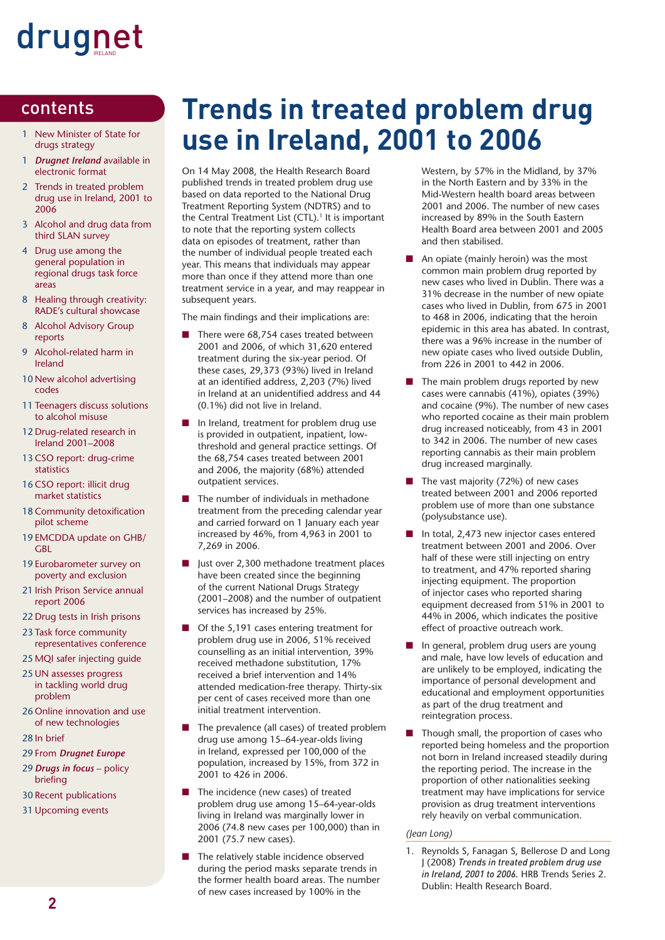#### contents

- 1 New Minister of State for drugs strategy
- 1 *Drugnet Ireland* available in electronic format
- 2 Trends in treated problem drug use in Ireland, 2001 to 2006
- 3 Alcohol and drug data from third SLAN survey
- 4 Drug use among the general population in regional drugs task force areas
- 8 Healing through creativity: RADE's cultural showcase
- 8 Alcohol Advisory Group reports
- 9 Alcohol-related harm in Ireland
- 10 New alcohol advertising codes
- 11 Teenagers discuss solutions to alcohol misuse
- 12 Drug-related research in Ireland 2001–2008
- 13 CSO report: drug-crime statistics
- 16 CSO report: illicit drug market statistics
- 18 Community detoxification pilot scheme
- 19 EMCDDA update on GHB/ GBL
- 19 Eurobarometer survey on poverty and exclusion
- 21 Irish Prison Service annual report 2006
- 22 Drug tests in Irish prisons
- 23 Task force community representatives conference
- 25 MQI safer injecting guide
- 25 UN assesses progress in tackling world drug problem
- 26 Online innovation and use of new technologies
- 28 In brief
- 29 From *Drugnet Europe*
- 29 *Drugs in focus* policy briefing
- 30 Recent publications
- 31 Upcoming events

### **Trends in treated problem drug use in Ireland, 2001 to 2006**

On 14 May 2008, the Health Research Board published trends in treated problem drug use based on data reported to the National Drug Treatment Reporting System (NDTRS) and to the Central Treatment List (CTL).<sup>1</sup> It is important to note that the reporting system collects data on episodes of treatment, rather than the number of individual people treated each year. This means that individuals may appear more than once if they attend more than one treatment service in a year, and may reappear in subsequent years.

The main findings and their implications are:

- There were 68,754 cases treated between 2001 and 2006, of which 31,620 entered treatment during the six-year period. Of these cases, 29,373 (93%) lived in Ireland at an identified address, 2,203 (7%) lived in Ireland at an unidentified address and 44 (0.1%) did not live in Ireland.
- In Ireland, treatment for problem drug use is provided in outpatient, inpatient, lowthreshold and general practice settings. Of the 68,754 cases treated between 2001 and 2006, the majority (68%) attended outpatient services.
- The number of individuals in methadone treatment from the preceding calendar year and carried forward on 1 January each year increased by 46%, from 4,963 in 2001 to 7,269 in 2006.
- Just over 2,300 methadone treatment places have been created since the beginning of the current National Drugs Strategy (2001–2008) and the number of outpatient services has increased by 25%.
- Of the 5,191 cases entering treatment for problem drug use in 2006, 51% received counselling as an initial intervention, 39% received methadone substitution, 17% received a brief intervention and 14% attended medication-free therapy. Thirty-six per cent of cases received more than one initial treatment intervention.
- The prevalence (all cases) of treated problem drug use among 15–64-year-olds living in Ireland, expressed per 100,000 of the population, increased by 15%, from 372 in 2001 to 426 in 2006.
- The incidence (new cases) of treated problem drug use among 15–64-year-olds living in Ireland was marginally lower in 2006 (74.8 new cases per 100,000) than in 2001 (75.7 new cases).
- The relatively stable incidence observed during the period masks separate trends in the former health board areas. The number of new cases increased by 100% in the

Western, by 57% in the Midland, by 37% in the North Eastern and by 33% in the Mid-Western health board areas between 2001 and 2006. The number of new cases increased by 89% in the South Eastern Health Board area between 2001 and 2005 and then stabilised.

- An opiate (mainly heroin) was the most common main problem drug reported by new cases who lived in Dublin. There was a 31% decrease in the number of new opiate cases who lived in Dublin, from 675 in 2001 to 468 in 2006, indicating that the heroin epidemic in this area has abated. In contrast, there was a 96% increase in the number of new opiate cases who lived outside Dublin, from 226 in 2001 to 442 in 2006.
- The main problem drugs reported by new cases were cannabis (41%), opiates (39%) and cocaine (9%). The number of new cases who reported cocaine as their main problem drug increased noticeably, from 43 in 2001 to 342 in 2006. The number of new cases reporting cannabis as their main problem drug increased marginally.
- The vast majority (72%) of new cases treated between 2001 and 2006 reported problem use of more than one substance (polysubstance use).
- In total, 2,473 new injector cases entered treatment between 2001 and 2006. Over half of these were still injecting on entry to treatment, and 47% reported sharing injecting equipment. The proportion of injector cases who reported sharing equipment decreased from 51% in 2001 to 44% in 2006, which indicates the positive effect of proactive outreach work.
- In general, problem drug users are young and male, have low levels of education and are unlikely to be employed, indicating the importance of personal development and educational and employment opportunities as part of the drug treatment and reintegration process.
- Though small, the proportion of cases who reported being homeless and the proportion not born in Ireland increased steadily during the reporting period. The increase in the proportion of other nationalities seeking treatment may have implications for service provision as drug treatment interventions rely heavily on verbal communication.

#### *(Jean Long)*

1. Reynolds S, Fanagan S, Bellerose D and Long J (2008) *Trends in treated problem drug use in Ireland, 2001 to 2006.* HRB Trends Series 2. Dublin: Health Research Board.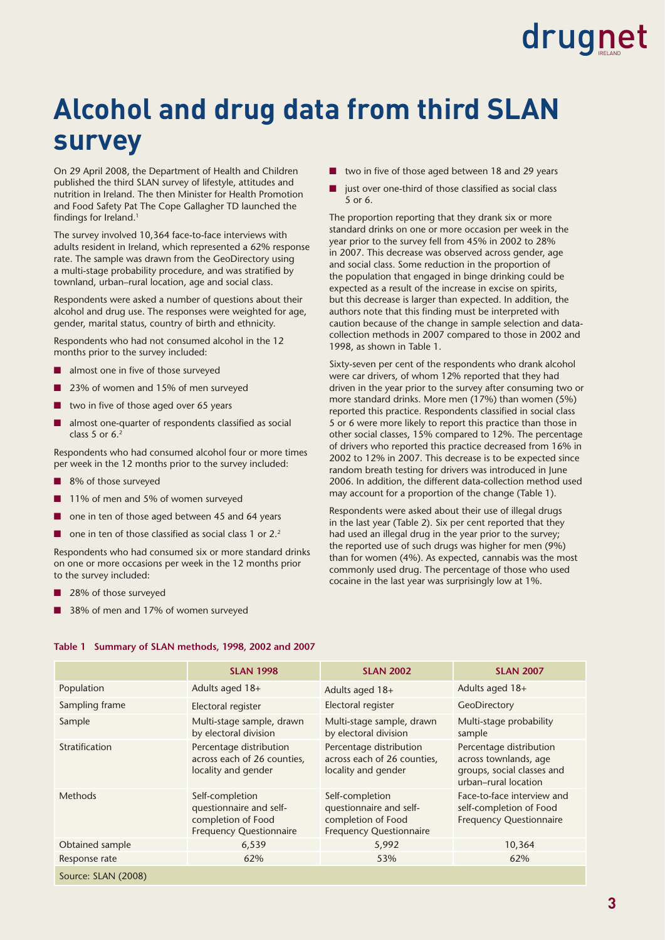### **Alcohol and drug data from third SLAN survey**

On 29 April 2008, the Department of Health and Children published the third SLAN survey of lifestyle, attitudes and nutrition in Ireland. The then Minister for Health Promotion and Food Safety Pat The Cope Gallagher TD launched the findings for Ireland.<sup>1</sup>

The survey involved 10,364 face-to-face interviews with adults resident in Ireland, which represented a 62% response rate. The sample was drawn from the GeoDirectory using a multi-stage probability procedure, and was stratified by townland, urban–rural location, age and social class.

Respondents were asked a number of questions about their alcohol and drug use. The responses were weighted for age, gender, marital status, country of birth and ethnicity.

Respondents who had not consumed alcohol in the 12 months prior to the survey included:

- $\blacksquare$  almost one in five of those surveyed
- 23% of women and 15% of men surveyed
- two in five of those aged over 65 years
- almost one-quarter of respondents classified as social class 5 or  $6<sup>2</sup>$

Respondents who had consumed alcohol four or more times per week in the 12 months prior to the survey included:

- 8% of those surveyed
- 11% of men and 5% of women surveyed
- one in ten of those aged between 45 and 64 years
- $\Box$  one in ten of those classified as social class 1 or 2.2

Respondents who had consumed six or more standard drinks on one or more occasions per week in the 12 months prior to the survey included:

- 28% of those surveyed
- 38% of men and 17% of women surveyed
- two in five of those aged between 18 and 29 years
- just over one-third of those classified as social class 5 or 6.

The proportion reporting that they drank six or more standard drinks on one or more occasion per week in the year prior to the survey fell from 45% in 2002 to 28% in 2007. This decrease was observed across gender, age and social class. Some reduction in the proportion of the population that engaged in binge drinking could be expected as a result of the increase in excise on spirits, but this decrease is larger than expected. In addition, the authors note that this finding must be interpreted with caution because of the change in sample selection and datacollection methods in 2007 compared to those in 2002 and 1998, as shown in Table 1.

Sixty-seven per cent of the respondents who drank alcohol were car drivers, of whom 12% reported that they had driven in the year prior to the survey after consuming two or more standard drinks. More men (17%) than women (5%) reported this practice. Respondents classified in social class 5 or 6 were more likely to report this practice than those in other social classes, 15% compared to 12%. The percentage of drivers who reported this practice decreased from 16% in 2002 to 12% in 2007. This decrease is to be expected since random breath testing for drivers was introduced in June 2006. In addition, the different data-collection method used may account for a proportion of the change (Table 1).

Respondents were asked about their use of illegal drugs in the last year (Table 2). Six per cent reported that they had used an illegal drug in the year prior to the survey; the reported use of such drugs was higher for men (9%) than for women (4%). As expected, cannabis was the most commonly used drug. The percentage of those who used cocaine in the last year was surprisingly low at 1%.

|                     | <b>SLAN 1998</b>                                                                                   | <b>SLAN 2002</b>                                                                                   | <b>SLAN 2007</b>                                                                                       |
|---------------------|----------------------------------------------------------------------------------------------------|----------------------------------------------------------------------------------------------------|--------------------------------------------------------------------------------------------------------|
| Population          | Adults aged 18+                                                                                    | Adults aged 18+                                                                                    | Adults aged 18+                                                                                        |
| Sampling frame      | Electoral register                                                                                 | Electoral register                                                                                 | GeoDirectory                                                                                           |
| Sample              | Multi-stage sample, drawn<br>by electoral division                                                 | Multi-stage sample, drawn<br>by electoral division                                                 | Multi-stage probability<br>sample                                                                      |
| Stratification      | Percentage distribution<br>across each of 26 counties,<br>locality and gender                      | Percentage distribution<br>across each of 26 counties,<br>locality and gender                      | Percentage distribution<br>across townlands, age<br>groups, social classes and<br>urban-rural location |
| <b>Methods</b>      | Self-completion<br>questionnaire and self-<br>completion of Food<br><b>Frequency Questionnaire</b> | Self-completion<br>questionnaire and self-<br>completion of Food<br><b>Frequency Questionnaire</b> | Face-to-face interview and<br>self-completion of Food<br><b>Frequency Questionnaire</b>                |
| Obtained sample     | 6,539                                                                                              | 5,992                                                                                              | 10,364                                                                                                 |
| Response rate       | 62%                                                                                                | 53%                                                                                                | 62%                                                                                                    |
| Source: SLAN (2008) |                                                                                                    |                                                                                                    |                                                                                                        |

#### **Table 1 Summary of SLAN methods, 1998, 2002 and 2007**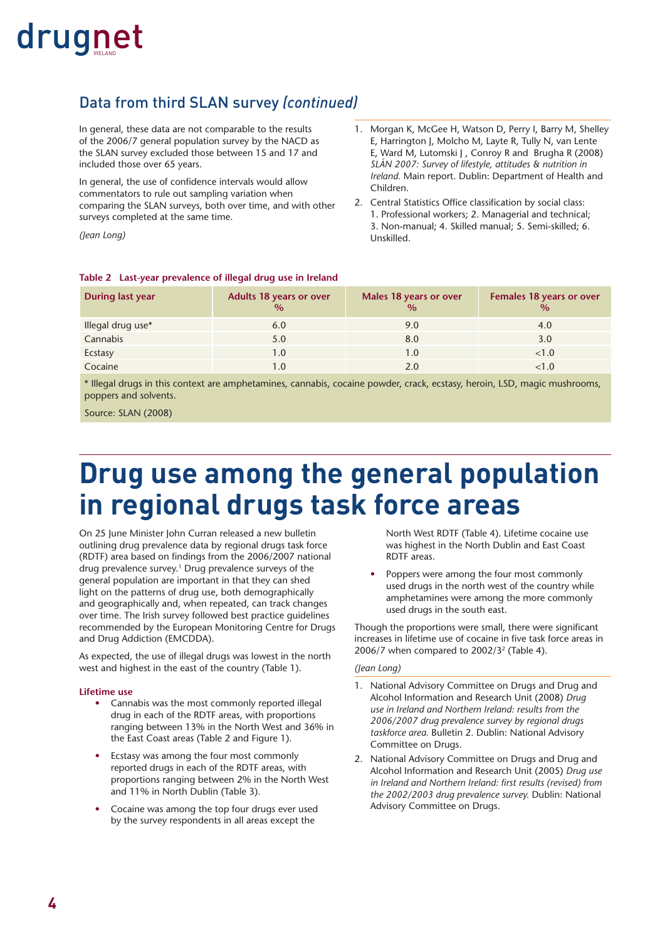#### Data from third SLAN survey *(continued)*

In general, these data are not comparable to the results of the 2006/7 general population survey by the NACD as the SLAN survey excluded those between 15 and 17 and included those over 65 years.

In general, the use of confidence intervals would allow commentators to rule out sampling variation when comparing the SLAN surveys, both over time, and with other surveys completed at the same time.

*(Jean Long)*

- 1. Morgan K, McGee H, Watson D, Perry I, Barry M, Shelley E, Harrington J, Molcho M, Layte R, Tully N, van Lente E, Ward M, Lutomski J, Conroy R and Brugha R (2008) *SLÁN 2007: Survey of lifestyle, attitudes & nutrition in Ireland.* Main report. Dublin: Department of Health and Children.
- 2. Central Statistics Office classification by social class: 1. Professional workers; 2. Managerial and technical; 3. Non-manual; 4. Skilled manual; 5. Semi-skilled; 6. Unskilled.

#### **Table 2 Last-year prevalence of illegal drug use in Ireland**

| <b>During last year</b> | <b>Adults 18 years or over</b><br>$\%$ | Males 18 years or over<br>$\frac{0}{0}$ | Females 18 years or over<br>$\frac{0}{0}$ |
|-------------------------|----------------------------------------|-----------------------------------------|-------------------------------------------|
| Illegal drug use*       | 6.0                                    | 9.0                                     | 4.0                                       |
| Cannabis                | 5.0                                    | 8.0                                     | 3.0                                       |
| Ecstasy                 | 1.0                                    | 1.0                                     | < 1.0                                     |
| Cocaine                 | 1.0                                    | 2.0                                     | <1.0                                      |

\* Illegal drugs in this context are amphetamines, cannabis, cocaine powder, crack, ecstasy, heroin, LSD, magic mushrooms, poppers and solvents.

Source: SLAN (2008)

### **Drug use among the general population in regional drugs task force areas**

On 25 June Minister John Curran released a new bulletin outlining drug prevalence data by regional drugs task force (RDTF) area based on findings from the 2006/2007 national drug prevalence survey.<sup>1</sup> Drug prevalence surveys of the general population are important in that they can shed light on the patterns of drug use, both demographically and geographically and, when repeated, can track changes over time. The Irish survey followed best practice guidelines recommended by the European Monitoring Centre for Drugs and Drug Addiction (EMCDDA).

As expected, the use of illegal drugs was lowest in the north west and highest in the east of the country (Table 1).

#### **Lifetime use**

- Cannabis was the most commonly reported illegal drug in each of the RDTF areas, with proportions ranging between 13% in the North West and 36% in the East Coast areas (Table 2 and Figure 1).
- Ecstasy was among the four most commonly reported drugs in each of the RDTF areas, with proportions ranging between 2% in the North West and 11% in North Dublin (Table 3).
- Cocaine was among the top four drugs ever used by the survey respondents in all areas except the

North West RDTF (Table 4). Lifetime cocaine use was highest in the North Dublin and East Coast RDTF areas.

Poppers were among the four most commonly used drugs in the north west of the country while amphetamines were among the more commonly used drugs in the south east.

Though the proportions were small, there were significant increases in lifetime use of cocaine in five task force areas in 2006/7 when compared to  $2002/3^2$  (Table 4).

#### *(Jean Long)*

- 1. National Advisory Committee on Drugs and Drug and Alcohol Information and Research Unit (2008) *Drug use in Ireland and Northern Ireland: results from the 2006/2007 drug prevalence survey by regional drugs taskforce area.* Bulletin 2. Dublin: National Advisory Committee on Drugs.
- 2. National Advisory Committee on Drugs and Drug and Alcohol Information and Research Unit (2005) *Drug use*  in Ireland and Northern Ireland: first results (revised) from *the 2002/2003 drug prevalence survey.* Dublin: National Advisory Committee on Drugs.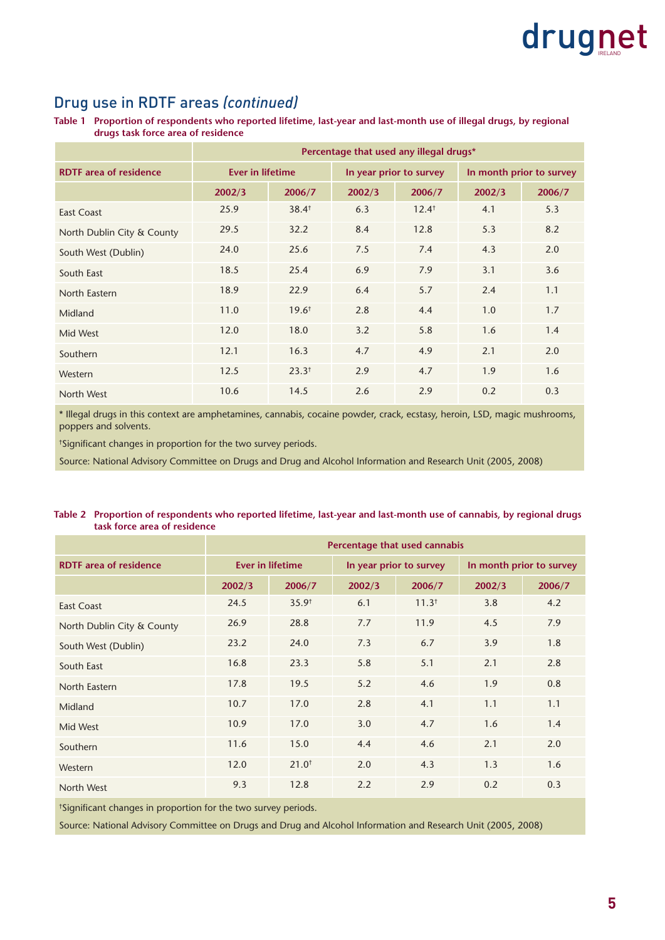#### Drug use in RDTF areas *(continued)*

**Table 1 Proportion of respondents who reported lifetime, last-year and last-month use of illegal drugs, by regional drugs task force area of residence**

|                               | Percentage that used any illegal drugs* |                   |        |                         |        |                          |  |
|-------------------------------|-----------------------------------------|-------------------|--------|-------------------------|--------|--------------------------|--|
| <b>RDTF</b> area of residence | <b>Ever in lifetime</b>                 |                   |        | In year prior to survey |        | In month prior to survey |  |
|                               | 2002/3                                  | 2006/7            | 2002/3 | 2006/7                  | 2002/3 | 2006/7                   |  |
| East Coast                    | 25.9                                    | 38.4 <sup>†</sup> | 6.3    | $12.4^+$                | 4.1    | 5.3                      |  |
| North Dublin City & County    | 29.5                                    | 32.2              | 8.4    | 12.8                    | 5.3    | 8.2                      |  |
| South West (Dublin)           | 24.0                                    | 25.6              | 7.5    | 7.4                     | 4.3    | 2.0                      |  |
| South East                    | 18.5                                    | 25.4              | 6.9    | 7.9                     | 3.1    | 3.6                      |  |
| North Eastern                 | 18.9                                    | 22.9              | 6.4    | 5.7                     | 2.4    | 1.1                      |  |
| Midland                       | 11.0                                    | $19.6^+$          | 2.8    | 4.4                     | 1.0    | 1.7                      |  |
| Mid West                      | 12.0                                    | 18.0              | 3.2    | 5.8                     | 1.6    | 1.4                      |  |
| Southern                      | 12.1                                    | 16.3              | 4.7    | 4.9                     | 2.1    | 2.0                      |  |
| Western                       | 12.5                                    | $23.3^{+}$        | 2.9    | 4.7                     | 1.9    | 1.6                      |  |
| North West                    | 10.6                                    | 14.5              | 2.6    | 2.9                     | 0.2    | 0.3                      |  |

\* Illegal drugs in this context are amphetamines, cannabis, cocaine powder, crack, ecstasy, heroin, LSD, magic mushrooms, poppers and solvents.

† Signifi cant changes in proportion for the two survey periods.

Source: National Advisory Committee on Drugs and Drug and Alcohol Information and Research Unit (2005, 2008)

#### **Table 2 Proportion of respondents who reported lifetime, last-year and last-month use of cannabis, by regional drugs task force area of residence**

|                               | Percentage that used cannabis |                   |        |                         |        |                          |  |
|-------------------------------|-------------------------------|-------------------|--------|-------------------------|--------|--------------------------|--|
| <b>RDTF</b> area of residence | <b>Ever in lifetime</b>       |                   |        | In year prior to survey |        | In month prior to survey |  |
|                               | 2002/3                        | 2006/7            | 2002/3 | 2006/7                  | 2002/3 | 2006/7                   |  |
| <b>East Coast</b>             | 24.5                          | 35.9 <sup>†</sup> | 6.1    | 11.3 <sup>†</sup>       | 3.8    | 4.2                      |  |
| North Dublin City & County    | 26.9                          | 28.8              | 7.7    | 11.9                    | 4.5    | 7.9                      |  |
| South West (Dublin)           | 23.2                          | 24.0              | 7.3    | 6.7                     | 3.9    | 1.8                      |  |
| South East                    | 16.8                          | 23.3              | 5.8    | 5.1                     | 2.1    | 2.8                      |  |
| North Eastern                 | 17.8                          | 19.5              | 5.2    | 4.6                     | 1.9    | 0.8                      |  |
| Midland                       | 10.7                          | 17.0              | 2.8    | 4.1                     | 1.1    | 1.1                      |  |
| Mid West                      | 10.9                          | 17.0              | 3.0    | 4.7                     | 1.6    | 1.4                      |  |
| Southern                      | 11.6                          | 15.0              | 4.4    | 4.6                     | 2.1    | 2.0                      |  |
| Western                       | 12.0                          | $21.0^{+}$        | 2.0    | 4.3                     | 1.3    | 1.6                      |  |
| North West                    | 9.3                           | 12.8              | 2.2    | 2.9                     | 0.2    | 0.3                      |  |

† Signifi cant changes in proportion for the two survey periods.

Source: National Advisory Committee on Drugs and Drug and Alcohol Information and Research Unit (2005, 2008)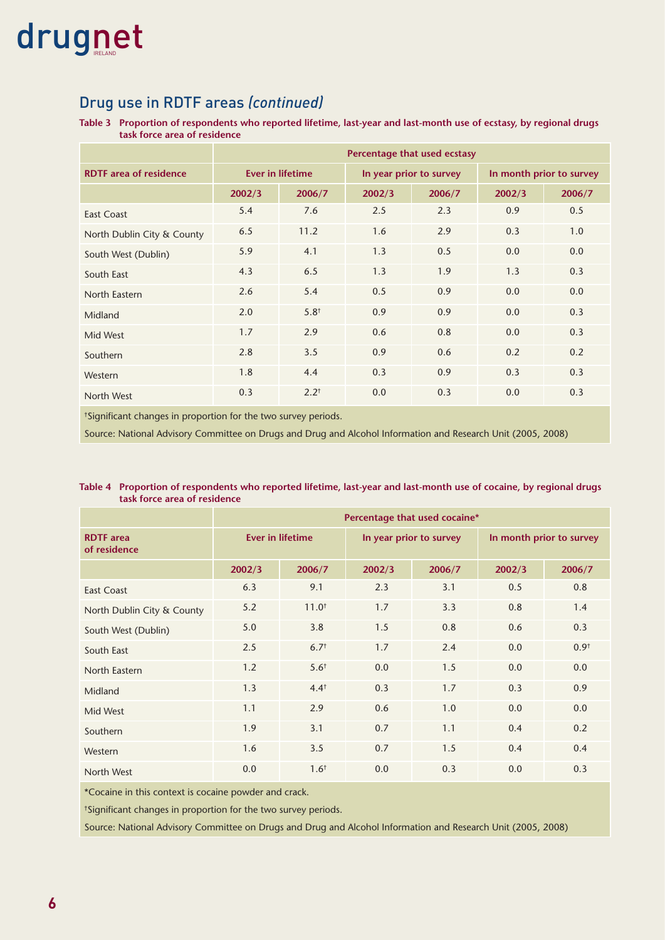#### Drug use in RDTF areas *(continued)*

**Table 3 Proportion of respondents who reported lifetime, last-year and last-month use of ecstasy, by regional drugs task force area of residence**

|                               | Percentage that used ecstasy |                         |        |                         |        |                          |  |
|-------------------------------|------------------------------|-------------------------|--------|-------------------------|--------|--------------------------|--|
| <b>RDTF</b> area of residence |                              | <b>Ever in lifetime</b> |        | In year prior to survey |        | In month prior to survey |  |
|                               | 2002/3                       | 2006/7                  | 2002/3 | 2006/7                  | 2002/3 | 2006/7                   |  |
| <b>East Coast</b>             | 5.4                          | 7.6                     | 2.5    | 2.3                     | 0.9    | 0.5                      |  |
| North Dublin City & County    | 6.5                          | 11.2                    | 1.6    | 2.9                     | 0.3    | 1.0                      |  |
| South West (Dublin)           | 5.9                          | 4.1                     | 1.3    | 0.5                     | 0.0    | 0.0                      |  |
| South East                    | 4.3                          | 6.5                     | 1.3    | 1.9                     | 1.3    | 0.3                      |  |
| North Eastern                 | 2.6                          | 5.4                     | 0.5    | 0.9                     | 0.0    | 0.0                      |  |
| Midland                       | 2.0                          | $5.8^{+}$               | 0.9    | 0.9                     | 0.0    | 0.3                      |  |
| Mid West                      | 1.7                          | 2.9                     | 0.6    | 0.8                     | 0.0    | 0.3                      |  |
| Southern                      | 2.8                          | 3.5                     | 0.9    | 0.6                     | 0.2    | 0.2                      |  |
| Western                       | 1.8                          | 4.4                     | 0.3    | 0.9                     | 0.3    | 0.3                      |  |
| North West                    | 0.3                          | $2.2^+$                 | 0.0    | 0.3                     | 0.0    | 0.3                      |  |

<sup>†</sup>Significant changes in proportion for the two survey periods.

Source: National Advisory Committee on Drugs and Drug and Alcohol Information and Research Unit (2005, 2008)

#### **Table 4 Proportion of respondents who reported lifetime, last-year and last-month use of cocaine, by regional drugs task force area of residence**

|                                  | Percentage that used cocaine* |                  |                         |        |                          |                  |  |  |
|----------------------------------|-------------------------------|------------------|-------------------------|--------|--------------------------|------------------|--|--|
| <b>RDTF</b> area<br>of residence | <b>Ever in lifetime</b>       |                  | In year prior to survey |        | In month prior to survey |                  |  |  |
|                                  | 2002/3                        | 2006/7           | 2002/3                  | 2006/7 | 2002/3                   | 2006/7           |  |  |
| <b>East Coast</b>                | 6.3                           | 9.1              | 2.3                     | 3.1    | 0.5                      | 0.8              |  |  |
| North Dublin City & County       | 5.2                           | $11.0^{+}$       | 1.7                     | 3.3    | 0.8                      | 1.4              |  |  |
| South West (Dublin)              | 5.0                           | 3.8              | 1.5                     | 0.8    | 0.6                      | 0.3              |  |  |
| South East                       | 2.5                           | 6.7 <sup>†</sup> | 1.7                     | 2.4    | 0.0                      | 0.9 <sup>†</sup> |  |  |
| North Eastern                    | 1.2                           | $5.6^{+}$        | 0.0                     | 1.5    | 0.0                      | 0.0              |  |  |
| Midland                          | 1.3                           | $4.4^{\dagger}$  | 0.3                     | 1.7    | 0.3                      | 0.9              |  |  |
| Mid West                         | 1.1                           | 2.9              | 0.6                     | 1.0    | 0.0                      | 0.0              |  |  |
| Southern                         | 1.9                           | 3.1              | 0.7                     | 1.1    | 0.4                      | 0.2              |  |  |
| Western                          | 1.6                           | 3.5              | 0.7                     | 1.5    | 0.4                      | 0.4              |  |  |
| North West                       | 0.0                           | $1.6^{+}$        | 0.0                     | 0.3    | 0.0                      | 0.3              |  |  |

\*Cocaine in this context is cocaine powder and crack.

<sup>†</sup>Significant changes in proportion for the two survey periods.

Source: National Advisory Committee on Drugs and Drug and Alcohol Information and Research Unit (2005, 2008)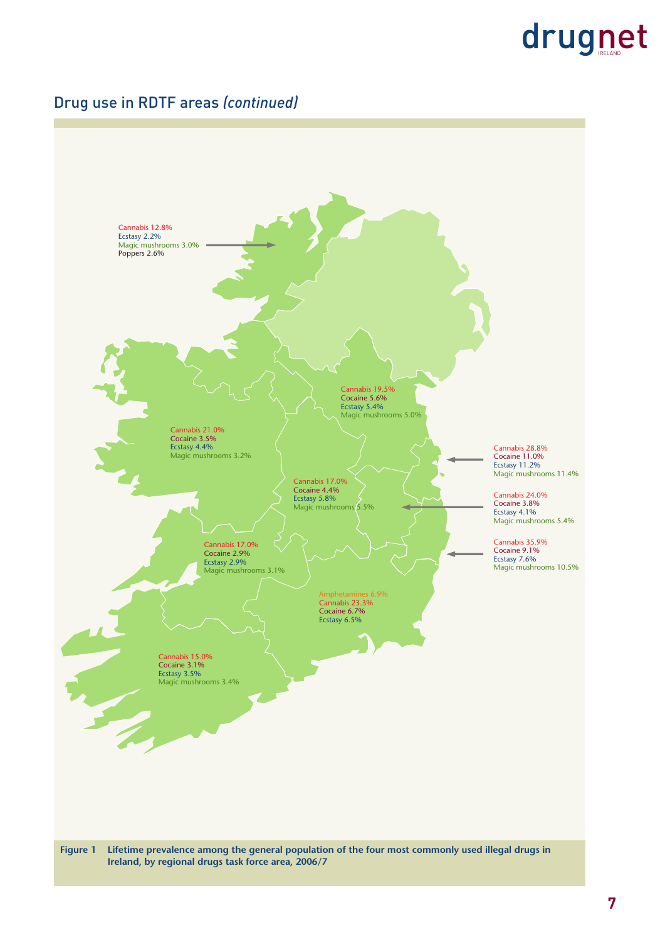#### Drug use in RDTF areas *(continued)*



**7**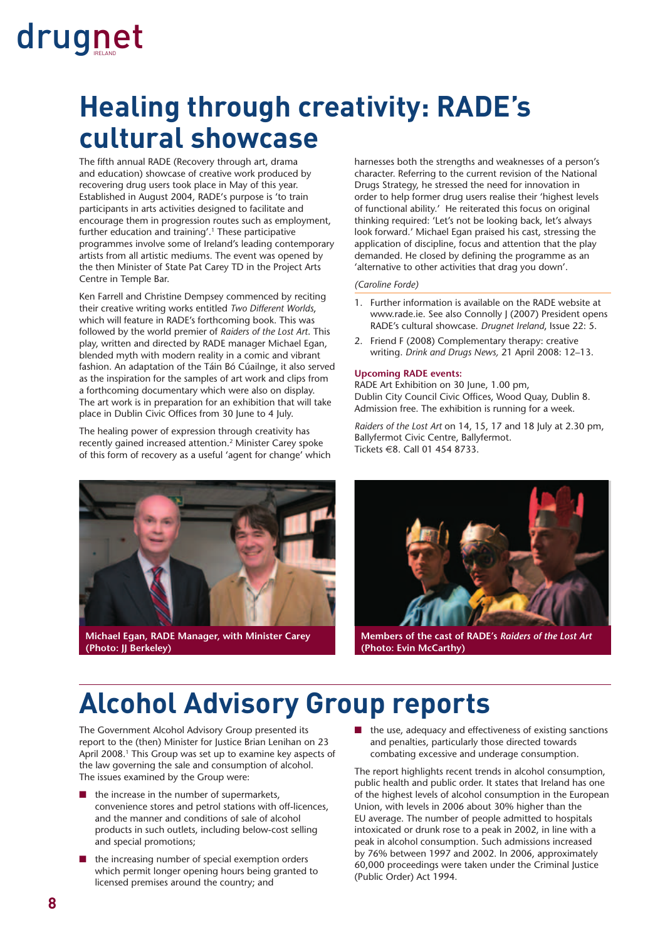### **Healing through creativity: RADE's cultural showcase**

The fifth annual RADE (Recovery through art, drama and education) showcase of creative work produced by recovering drug users took place in May of this year. Established in August 2004, RADE's purpose is 'to train participants in arts activities designed to facilitate and encourage them in progression routes such as employment, further education and training'.1 These participative programmes involve some of Ireland's leading contemporary artists from all artistic mediums. The event was opened by the then Minister of State Pat Carey TD in the Project Arts Centre in Temple Bar.

Ken Farrell and Christine Dempsey commenced by reciting their creative writing works entitled *Two Different Worlds*, which will feature in RADE's forthcoming book. This was followed by the world premier of *Raiders of the Lost Art*. This play, written and directed by RADE manager Michael Egan, blended myth with modern reality in a comic and vibrant fashion. An adaptation of the Táin Bó Cúailnge, it also served as the inspiration for the samples of art work and clips from a forthcoming documentary which were also on display. The art work is in preparation for an exhibition that will take place in Dublin Civic Offices from 30 June to 4 July.

The healing power of expression through creativity has recently gained increased attention.2 Minister Carey spoke of this form of recovery as a useful 'agent for change' which harnesses both the strengths and weaknesses of a person's character. Referring to the current revision of the National Drugs Strategy, he stressed the need for innovation in order to help former drug users realise their 'highest levels of functional ability.' He reiterated this focus on original thinking required: 'Let's not be looking back, let's always look forward.' Michael Egan praised his cast, stressing the application of discipline, focus and attention that the play demanded. He closed by defining the programme as an 'alternative to other activities that drag you down'.

#### *(Caroline Forde)*

- 1. Further information is available on the RADE website at www.rade.ie. See also Connolly J (2007) President opens RADE's cultural showcase. *Drugnet Ireland*, Issue 22: 5.
- 2. Friend F (2008) Complementary therapy: creative writing. *Drink and Drugs News,* 21 April 2008: 12–13.

#### **Upcoming RADE events:**

RADE Art Exhibition on 30 June, 1.00 pm, Dublin City Council Civic Offices, Wood Quay, Dublin 8. Admission free. The exhibition is running for a week.

*Raiders of the Lost Art* on 14, 15, 17 and 18 July at 2.30 pm, Ballyfermot Civic Centre, Ballyfermot. Tickets €8. Call 01 454 8733.



**Michael Egan, RADE Manager, with Minister Carey (Photo: JJ Berkeley)** 



**Members of the cast of RADE's** *Raiders of the Lost Art* **(Photo: Evin McCarthy)** 

### **Alcohol Advisory Group reports**

The Government Alcohol Advisory Group presented its report to the (then) Minister for Justice Brian Lenihan on 23 April 2008.<sup>1</sup> This Group was set up to examine key aspects of the law governing the sale and consumption of alcohol. The issues examined by the Group were:

- the increase in the number of supermarkets, convenience stores and petrol stations with off-licences, and the manner and conditions of sale of alcohol products in such outlets, including below-cost selling and special promotions;
- the increasing number of special exemption orders which permit longer opening hours being granted to licensed premises around the country; and

■ the use, adequacy and effectiveness of existing sanctions and penalties, particularly those directed towards combating excessive and underage consumption.

The report highlights recent trends in alcohol consumption, public health and public order. It states that Ireland has one of the highest levels of alcohol consumption in the European Union, with levels in 2006 about 30% higher than the EU average. The number of people admitted to hospitals intoxicated or drunk rose to a peak in 2002, in line with a peak in alcohol consumption. Such admissions increased by 76% between 1997 and 2002. In 2006, approximately 60,000 proceedings were taken under the Criminal Justice (Public Order) Act 1994.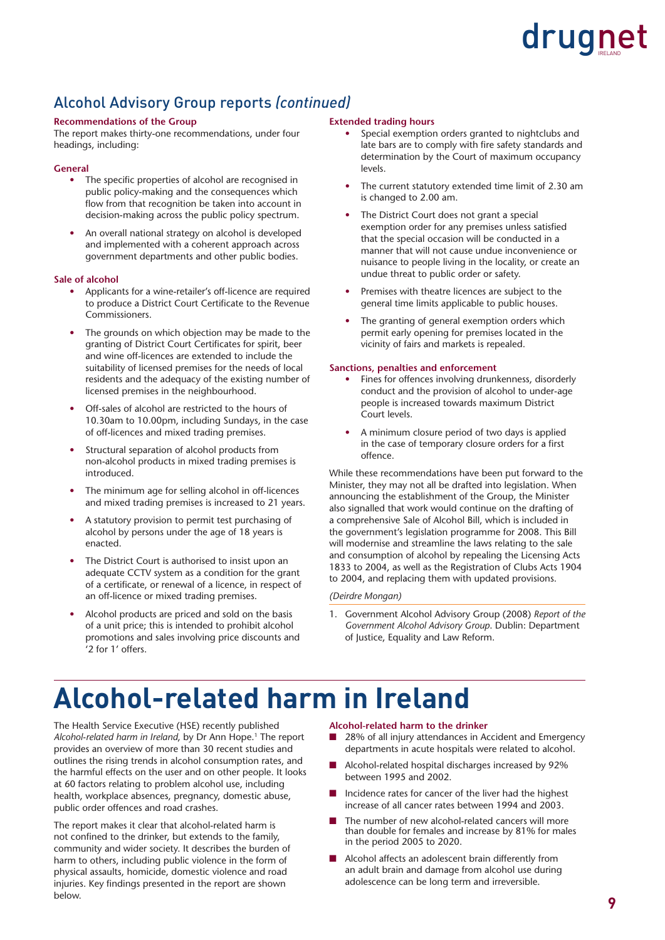#### Alcohol Advisory Group reports *(continued)*

#### **Recommendations of the Group**

The report makes thirty-one recommendations, under four headings, including:

#### **General**

- The specific properties of alcohol are recognised in public policy-making and the consequences which flow from that recognition be taken into account in decision-making across the public policy spectrum.
- An overall national strategy on alcohol is developed and implemented with a coherent approach across government departments and other public bodies.

#### **Sale of alcohol**

- Applicants for a wine-retailer's off-licence are required to produce a District Court Certificate to the Revenue Commissioners.
- The grounds on which objection may be made to the granting of District Court Certificates for spirit, beer and wine off-licences are extended to include the suitability of licensed premises for the needs of local residents and the adequacy of the existing number of licensed premises in the neighbourhood.
- Off-sales of alcohol are restricted to the hours of 10.30am to 10.00pm, including Sundays, in the case of off-licences and mixed trading premises.
- Structural separation of alcohol products from non-alcohol products in mixed trading premises is introduced.
- The minimum age for selling alcohol in off-licences and mixed trading premises is increased to 21 years.
- A statutory provision to permit test purchasing of alcohol by persons under the age of 18 years is enacted.
- The District Court is authorised to insist upon an adequate CCTV system as a condition for the grant of a certificate, or renewal of a licence, in respect of an off-licence or mixed trading premises.
- Alcohol products are priced and sold on the basis of a unit price; this is intended to prohibit alcohol promotions and sales involving price discounts and '2 for 1' offers.

#### **Extended trading hours**

- Special exemption orders granted to nightclubs and late bars are to comply with fire safety standards and determination by the Court of maximum occupancy levels.
- The current statutory extended time limit of 2.30 am is changed to 2.00 am.
- The District Court does not grant a special exemption order for any premises unless satisfied that the special occasion will be conducted in a manner that will not cause undue inconvenience or nuisance to people living in the locality, or create an undue threat to public order or safety.
- Premises with theatre licences are subject to the general time limits applicable to public houses.
- The granting of general exemption orders which permit early opening for premises located in the vicinity of fairs and markets is repealed.

#### **Sanctions, penalties and enforcement**

- Fines for offences involving drunkenness, disorderly conduct and the provision of alcohol to under-age people is increased towards maximum District Court levels.
- A minimum closure period of two days is applied in the case of temporary closure orders for a first offence.

While these recommendations have been put forward to the Minister, they may not all be drafted into legislation. When announcing the establishment of the Group, the Minister also signalled that work would continue on the drafting of a comprehensive Sale of Alcohol Bill, which is included in the government's legislation programme for 2008. This Bill will modernise and streamline the laws relating to the sale and consumption of alcohol by repealing the Licensing Acts 1833 to 2004, as well as the Registration of Clubs Acts 1904 to 2004, and replacing them with updated provisions.

#### *(Deirdre Mongan)*

1. Government Alcohol Advisory Group (2008) *Report of the Government Alcohol Advisory Group*. Dublin: Department of Justice, Equality and Law Reform.

### **Alcohol-related harm in Ireland**

The Health Service Executive (HSE) recently published *Alcohol-related harm in Ireland*, by Dr Ann Hope.1 The report provides an overview of more than 30 recent studies and outlines the rising trends in alcohol consumption rates, and the harmful effects on the user and on other people. It looks at 60 factors relating to problem alcohol use, including health, workplace absences, pregnancy, domestic abuse, public order offences and road crashes.

The report makes it clear that alcohol-related harm is not confined to the drinker, but extends to the family, community and wider society. It describes the burden of harm to others, including public violence in the form of physical assaults, homicide, domestic violence and road injuries. Key findings presented in the report are shown below.

#### **Alcohol-related harm to the drinker**

- 28% of all injury attendances in Accident and Emergency departments in acute hospitals were related to alcohol.
- Alcohol-related hospital discharges increased by 92% between 1995 and 2002.
- Incidence rates for cancer of the liver had the highest increase of all cancer rates between 1994 and 2003.
- The number of new alcohol-related cancers will more than double for females and increase by 81% for males in the period 2005 to 2020.
- Alcohol affects an adolescent brain differently from an adult brain and damage from alcohol use during adolescence can be long term and irreversible.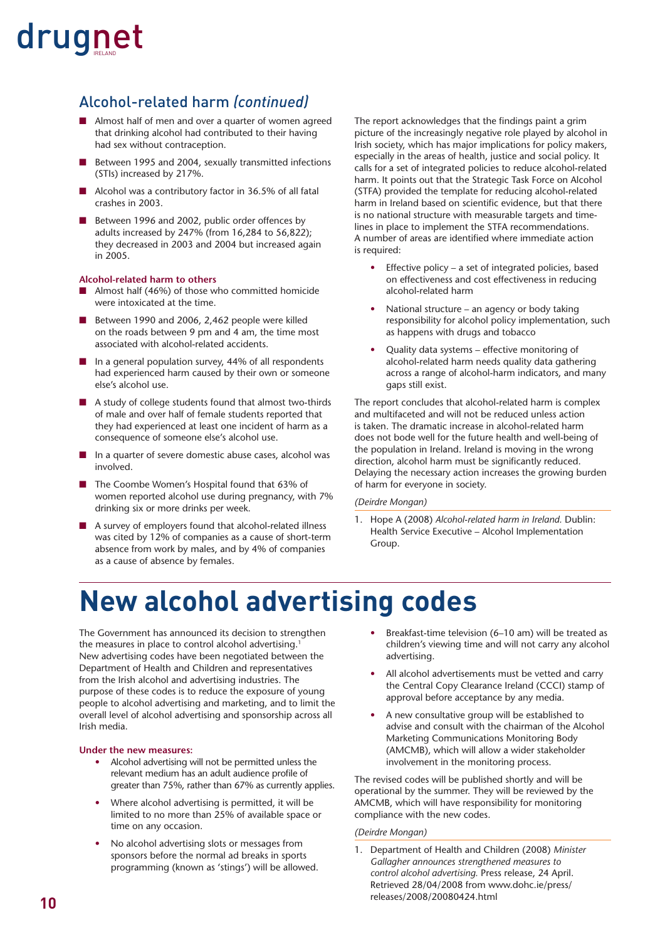#### Alcohol-related harm *(continued)*

- Almost half of men and over a quarter of women agreed that drinking alcohol had contributed to their having had sex without contraception.
- Between 1995 and 2004, sexually transmitted infections (STIs) increased by 217%.
- Alcohol was a contributory factor in 36.5% of all fatal crashes in 2003.
- Between 1996 and 2002, public order offences by adults increased by 247% (from 16,284 to 56,822); they decreased in 2003 and 2004 but increased again in 2005.

#### **Alcohol-related harm to others**

- Almost half (46%) of those who committed homicide were intoxicated at the time.
- Between 1990 and 2006, 2,462 people were killed on the roads between 9 pm and 4 am, the time most associated with alcohol-related accidents.
- In a general population survey, 44% of all respondents had experienced harm caused by their own or someone else's alcohol use.
- A study of college students found that almost two-thirds of male and over half of female students reported that they had experienced at least one incident of harm as a consequence of someone else's alcohol use.
- In a quarter of severe domestic abuse cases, alcohol was involved.
- The Coombe Women's Hospital found that 63% of women reported alcohol use during pregnancy, with 7% drinking six or more drinks per week.
- A survey of employers found that alcohol-related illness was cited by 12% of companies as a cause of short-term absence from work by males, and by 4% of companies as a cause of absence by females.

The report acknowledges that the findings paint a grim picture of the increasingly negative role played by alcohol in Irish society, which has major implications for policy makers, especially in the areas of health, justice and social policy. It calls for a set of integrated policies to reduce alcohol-related harm. It points out that the Strategic Task Force on Alcohol (STFA) provided the template for reducing alcohol-related harm in Ireland based on scientific evidence, but that there is no national structure with measurable targets and timelines in place to implement the STFA recommendations. A number of areas are identified where immediate action is required:

- Effective policy a set of integrated policies, based on effectiveness and cost effectiveness in reducing alcohol-related harm
- National structure an agency or body taking responsibility for alcohol policy implementation, such as happens with drugs and tobacco
- Quality data systems effective monitoring of alcohol-related harm needs quality data gathering across a range of alcohol-harm indicators, and many gaps still exist.

The report concludes that alcohol-related harm is complex and multifaceted and will not be reduced unless action is taken. The dramatic increase in alcohol-related harm does not bode well for the future health and well-being of the population in Ireland. Ireland is moving in the wrong direction, alcohol harm must be significantly reduced. Delaying the necessary action increases the growing burden of harm for everyone in society.

#### *(Deirdre Mongan)*

1. Hope A (2008) *Alcohol-related harm in Ireland.* Dublin: Health Service Executive – Alcohol Implementation Group.

### **New alcohol advertising codes**

The Government has announced its decision to strengthen the measures in place to control alcohol advertising.<sup>1</sup> New advertising codes have been negotiated between the Department of Health and Children and representatives from the Irish alcohol and advertising industries. The purpose of these codes is to reduce the exposure of young people to alcohol advertising and marketing, and to limit the overall level of alcohol advertising and sponsorship across all Irish media.

#### **Under the new measures:**

- Alcohol advertising will not be permitted unless the relevant medium has an adult audience profile of greater than 75%, rather than 67% as currently applies.
- Where alcohol advertising is permitted, it will be limited to no more than 25% of available space or time on any occasion.
- No alcohol advertising slots or messages from sponsors before the normal ad breaks in sports programming (known as 'stings') will be allowed.
- Breakfast-time television (6–10 am) will be treated as children's viewing time and will not carry any alcohol advertising.
- All alcohol advertisements must be vetted and carry the Central Copy Clearance Ireland (CCCI) stamp of approval before acceptance by any media.
- A new consultative group will be established to advise and consult with the chairman of the Alcohol Marketing Communications Monitoring Body (AMCMB), which will allow a wider stakeholder involvement in the monitoring process.

The revised codes will be published shortly and will be operational by the summer. They will be reviewed by the AMCMB, which will have responsibility for monitoring compliance with the new codes.

#### *(Deirdre Mongan)*

1. Department of Health and Children (2008) *Minister Gallagher announces strengthened measures to control alcohol advertising.* Press release, 24 April. Retrieved 28/04/2008 from www.dohc.ie/press/ releases/2008/20080424.html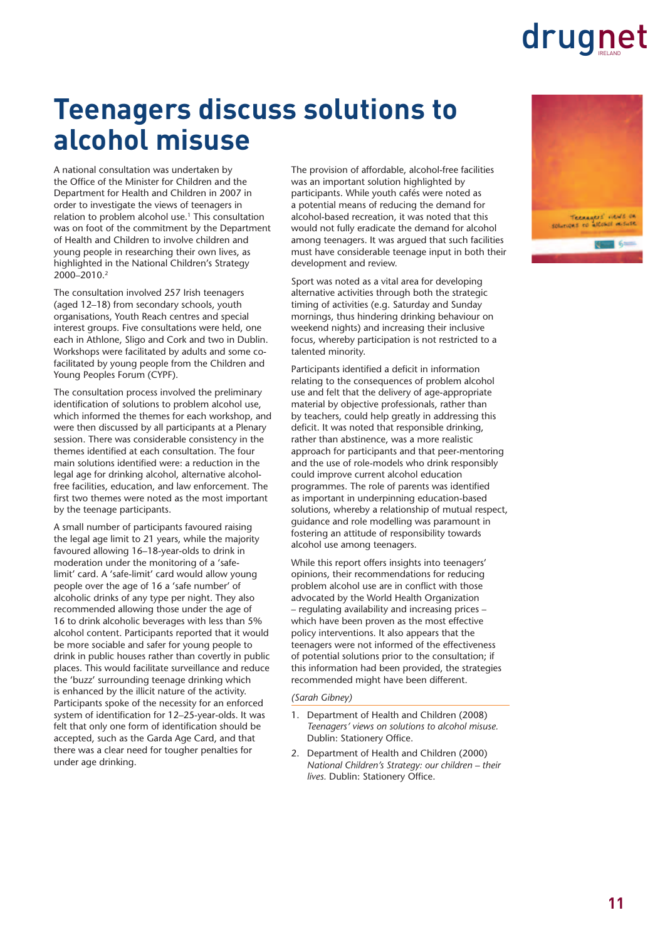### **Teenagers discuss solutions to alcohol misuse**

A national consultation was undertaken by the Office of the Minister for Children and the Department for Health and Children in 2007 in order to investigate the views of teenagers in relation to problem alcohol use.<sup>1</sup> This consultation was on foot of the commitment by the Department of Health and Children to involve children and young people in researching their own lives, as highlighted in the National Children's Strategy 2000–2010.2

The consultation involved 257 Irish teenagers (aged 12–18) from secondary schools, youth organisations, Youth Reach centres and special interest groups. Five consultations were held, one each in Athlone, Sligo and Cork and two in Dublin. Workshops were facilitated by adults and some cofacilitated by young people from the Children and Young Peoples Forum (CYPF).

The consultation process involved the preliminary identification of solutions to problem alcohol use, which informed the themes for each workshop, and were then discussed by all participants at a Plenary session. There was considerable consistency in the themes identified at each consultation. The four main solutions identified were: a reduction in the legal age for drinking alcohol, alternative alcoholfree facilities, education, and law enforcement. The first two themes were noted as the most important by the teenage participants.

A small number of participants favoured raising the legal age limit to 21 years, while the majority favoured allowing 16–18-year-olds to drink in moderation under the monitoring of a 'safelimit' card. A 'safe-limit' card would allow young people over the age of 16 a 'safe number' of alcoholic drinks of any type per night. They also recommended allowing those under the age of 16 to drink alcoholic beverages with less than 5% alcohol content. Participants reported that it would be more sociable and safer for young people to drink in public houses rather than covertly in public places. This would facilitate surveillance and reduce the 'buzz' surrounding teenage drinking which is enhanced by the illicit nature of the activity. Participants spoke of the necessity for an enforced system of identification for 12-25-year-olds. It was felt that only one form of identification should be accepted, such as the Garda Age Card, and that there was a clear need for tougher penalties for under age drinking.

The provision of affordable, alcohol-free facilities was an important solution highlighted by participants. While youth cafés were noted as a potential means of reducing the demand for alcohol-based recreation, it was noted that this would not fully eradicate the demand for alcohol among teenagers. It was argued that such facilities must have considerable teenage input in both their development and review.

Sport was noted as a vital area for developing alternative activities through both the strategic timing of activities (e.g. Saturday and Sunday mornings, thus hindering drinking behaviour on weekend nights) and increasing their inclusive focus, whereby participation is not restricted to a talented minority.

Participants identified a deficit in information relating to the consequences of problem alcohol use and felt that the delivery of age-appropriate material by objective professionals, rather than by teachers, could help greatly in addressing this deficit. It was noted that responsible drinking, rather than abstinence, was a more realistic approach for participants and that peer-mentoring and the use of role-models who drink responsibly could improve current alcohol education programmes. The role of parents was identified as important in underpinning education-based solutions, whereby a relationship of mutual respect, guidance and role modelling was paramount in fostering an attitude of responsibility towards alcohol use among teenagers.

While this report offers insights into teenagers' opinions, their recommendations for reducing problem alcohol use are in conflict with those advocated by the World Health Organization – regulating availability and increasing prices – which have been proven as the most effective policy interventions. It also appears that the teenagers were not informed of the effectiveness of potential solutions prior to the consultation; if this information had been provided, the strategies recommended might have been different.

#### *(Sarah Gibney)*

- 1. Department of Health and Children (2008) *Teenagers' views on solutions to alcohol misuse.* Dublin: Stationery Office.
- 2. Department of Health and Children (2000) *National Children's Strategy: our children – their lives.* Dublin: Stationery Office.

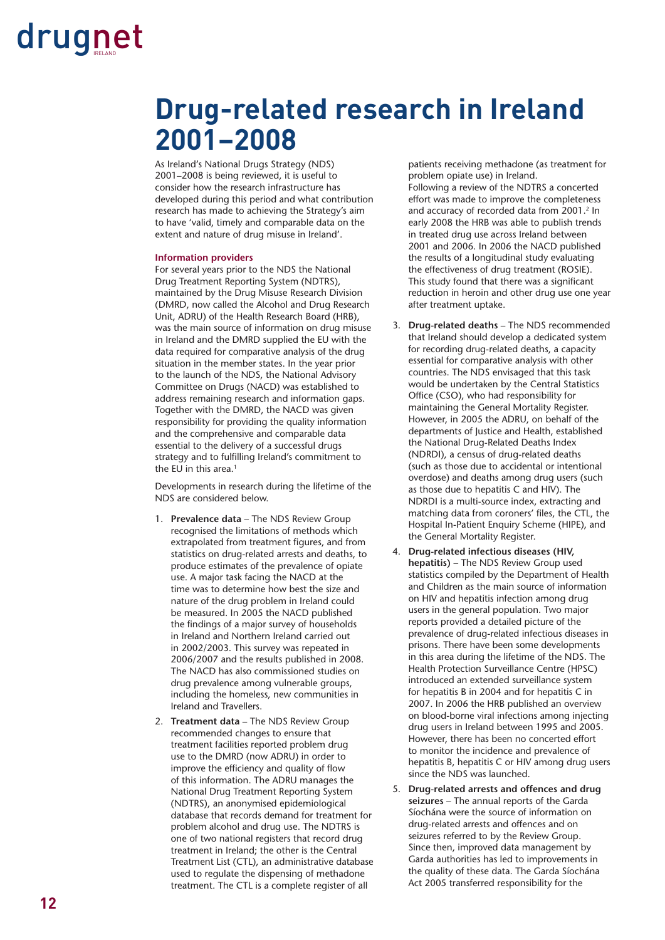### **Drug-related research in Ireland 2001–2008**

As Ireland's National Drugs Strategy (NDS) 2001–2008 is being reviewed, it is useful to consider how the research infrastructure has developed during this period and what contribution research has made to achieving the Strategy's aim to have 'valid, timely and comparable data on the extent and nature of drug misuse in Ireland'.

#### **Information providers**

For several years prior to the NDS the National Drug Treatment Reporting System (NDTRS), maintained by the Drug Misuse Research Division (DMRD, now called the Alcohol and Drug Research Unit, ADRU) of the Health Research Board (HRB), was the main source of information on drug misuse in Ireland and the DMRD supplied the EU with the data required for comparative analysis of the drug situation in the member states. In the year prior to the launch of the NDS, the National Advisory Committee on Drugs (NACD) was established to address remaining research and information gaps. Together with the DMRD, the NACD was given responsibility for providing the quality information and the comprehensive and comparable data essential to the delivery of a successful drugs strategy and to fulfilling Ireland's commitment to the EU in this area.<sup>1</sup>

Developments in research during the lifetime of the NDS are considered below.

- 1. Prevalence data The NDS Review Group recognised the limitations of methods which extrapolated from treatment figures, and from statistics on drug-related arrests and deaths, to produce estimates of the prevalence of opiate use. A major task facing the NACD at the time was to determine how best the size and nature of the drug problem in Ireland could be measured. In 2005 the NACD published the findings of a major survey of households in Ireland and Northern Ireland carried out in 2002/2003. This survey was repeated in 2006/2007 and the results published in 2008. The NACD has also commissioned studies on drug prevalence among vulnerable groups, including the homeless, new communities in Ireland and Travellers.
- 2. Treatment data The NDS Review Group recommended changes to ensure that treatment facilities reported problem drug use to the DMRD (now ADRU) in order to improve the efficiency and quality of flow of this information. The ADRU manages the National Drug Treatment Reporting System (NDTRS), an anonymised epidemiological database that records demand for treatment for problem alcohol and drug use. The NDTRS is one of two national registers that record drug treatment in Ireland; the other is the Central Treatment List (CTL), an administrative database used to regulate the dispensing of methadone treatment. The CTL is a complete register of all

patients receiving methadone (as treatment for problem opiate use) in Ireland. Following a review of the NDTRS a concerted effort was made to improve the completeness and accuracy of recorded data from 2001.<sup>2</sup> In early 2008 the HRB was able to publish trends in treated drug use across Ireland between 2001 and 2006. In 2006 the NACD published the results of a longitudinal study evaluating the effectiveness of drug treatment (ROSIE). This study found that there was a significant reduction in heroin and other drug use one year

after treatment uptake.

- 3. Drug-related deaths The NDS recommended that Ireland should develop a dedicated system for recording drug-related deaths, a capacity essential for comparative analysis with other countries. The NDS envisaged that this task would be undertaken by the Central Statistics Office (CSO), who had responsibility for maintaining the General Mortality Register. However, in 2005 the ADRU, on behalf of the departments of Justice and Health, established the National Drug-Related Deaths Index (NDRDI), a census of drug-related deaths (such as those due to accidental or intentional overdose) and deaths among drug users (such as those due to hepatitis C and HIV). The NDRDI is a multi-source index, extracting and matching data from coroners' files, the CTL, the Hospital In-Patient Enquiry Scheme (HIPE), and the General Mortality Register.
- 4. **Drug-related infectious diseases (HIV, hepatitis)** – The NDS Review Group used statistics compiled by the Department of Health and Children as the main source of information on HIV and hepatitis infection among drug users in the general population. Two major reports provided a detailed picture of the prevalence of drug-related infectious diseases in prisons. There have been some developments in this area during the lifetime of the NDS. The Health Protection Surveillance Centre (HPSC) introduced an extended surveillance system for hepatitis B in 2004 and for hepatitis C in 2007. In 2006 the HRB published an overview on blood-borne viral infections among injecting drug users in Ireland between 1995 and 2005. However, there has been no concerted effort to monitor the incidence and prevalence of hepatitis B, hepatitis C or HIV among drug users since the NDS was launched.
- 5. **Drug-related arrests and offences and drug seizures** – The annual reports of the Garda Síochána were the source of information on drug-related arrests and offences and on seizures referred to by the Review Group. Since then, improved data management by Garda authorities has led to improvements in the quality of these data. The Garda Síochána Act 2005 transferred responsibility for the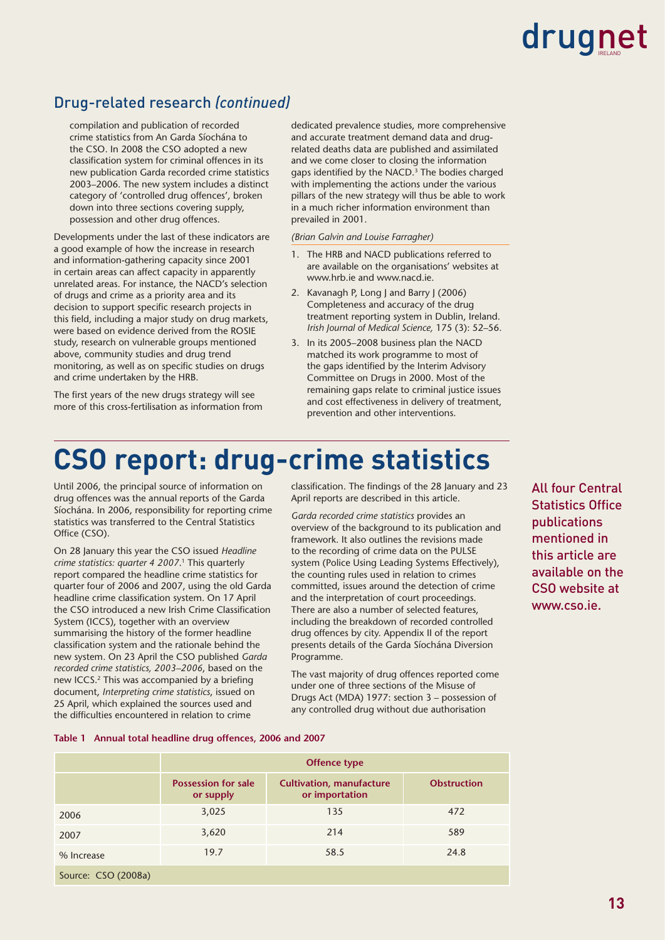#### Drug-related research *(continued)*

compilation and publication of recorded crime statistics from An Garda Síochána to the CSO. In 2008 the CSO adopted a new classification system for criminal offences in its new publication Garda recorded crime statistics 2003–2006. The new system includes a distinct category of 'controlled drug offences', broken down into three sections covering supply, possession and other drug offences.

Developments under the last of these indicators are a good example of how the increase in research and information-gathering capacity since 2001 in certain areas can affect capacity in apparently unrelated areas. For instance, the NACD's selection of drugs and crime as a priority area and its decision to support specific research projects in this field, including a major study on drug markets, were based on evidence derived from the ROSIE study, research on vulnerable groups mentioned above, community studies and drug trend monitoring, as well as on specific studies on drugs and crime undertaken by the HRB.

The first years of the new drugs strategy will see more of this cross-fertilisation as information from dedicated prevalence studies, more comprehensive and accurate treatment demand data and drugrelated deaths data are published and assimilated and we come closer to closing the information gaps identified by the NACD. $3$  The bodies charged with implementing the actions under the various pillars of the new strategy will thus be able to work in a much richer information environment than prevailed in 2001.

*(Brian Galvin and Louise Farragher)*

- 1. The HRB and NACD publications referred to are available on the organisations' websites at www.hrb.ie and www.nacd.ie.
- 2. Kavanagh P, Long J and Barry J (2006) Completeness and accuracy of the drug treatment reporting system in Dublin, Ireland. *Irish Journal of Medical Science,* 175 (3): 52–56.
- 3. In its 2005–2008 business plan the NACD matched its work programme to most of the gaps identified by the Interim Advisory Committee on Drugs in 2000. Most of the remaining gaps relate to criminal justice issues and cost effectiveness in delivery of treatment, prevention and other interventions.

### **CSO report: drug-crime statistics**

Until 2006, the principal source of information on drug offences was the annual reports of the Garda Síochána. In 2006, responsibility for reporting crime statistics was transferred to the Central Statistics Office (CSO).

On 28 January this year the CSO issued *Headline crime statistics: quarter 4 2007*. 1 This quarterly report compared the headline crime statistics for quarter four of 2006 and 2007, using the old Garda headline crime classification system. On 17 April the CSO introduced a new Irish Crime Classification System (ICCS), together with an overview summarising the history of the former headline classification system and the rationale behind the new system. On 23 April the CSO published *Garda recorded crime statistics, 2003–2006*, based on the new ICCS.<sup>2</sup> This was accompanied by a briefing document, *Interpreting crime statistics*, issued on 25 April, which explained the sources used and the difficulties encountered in relation to crime

classification. The findings of the 28 January and 23 April reports are described in this article.

*Garda recorded crime statistics* provides an overview of the background to its publication and framework. It also outlines the revisions made to the recording of crime data on the PULSE system (Police Using Leading Systems Effectively), the counting rules used in relation to crimes committed, issues around the detection of crime and the interpretation of court proceedings. There are also a number of selected features, including the breakdown of recorded controlled drug offences by city. Appendix II of the report presents details of the Garda Síochána Diversion Programme.

The vast majority of drug offences reported come under one of three sections of the Misuse of Drugs Act (MDA) 1977: section 3 – possession of any controlled drug without due authorisation

All four Central Statistics Office publications mentioned in this article are available on the CSO website at www.cso.ie.

#### **Table 1 Annual total headline drug offences, 2006 and 2007**

|                     | <b>Offence type</b>                     |                                                   |                    |  |  |  |  |
|---------------------|-----------------------------------------|---------------------------------------------------|--------------------|--|--|--|--|
|                     | <b>Possession for sale</b><br>or supply | <b>Cultivation, manufacture</b><br>or importation | <b>Obstruction</b> |  |  |  |  |
| 2006                | 3,025                                   | 135                                               | 472                |  |  |  |  |
| 2007                | 3,620                                   | 214                                               | 589                |  |  |  |  |
| % Increase          | 19.7                                    | 58.5                                              | 24.8               |  |  |  |  |
| Source: CSO (2008a) |                                         |                                                   |                    |  |  |  |  |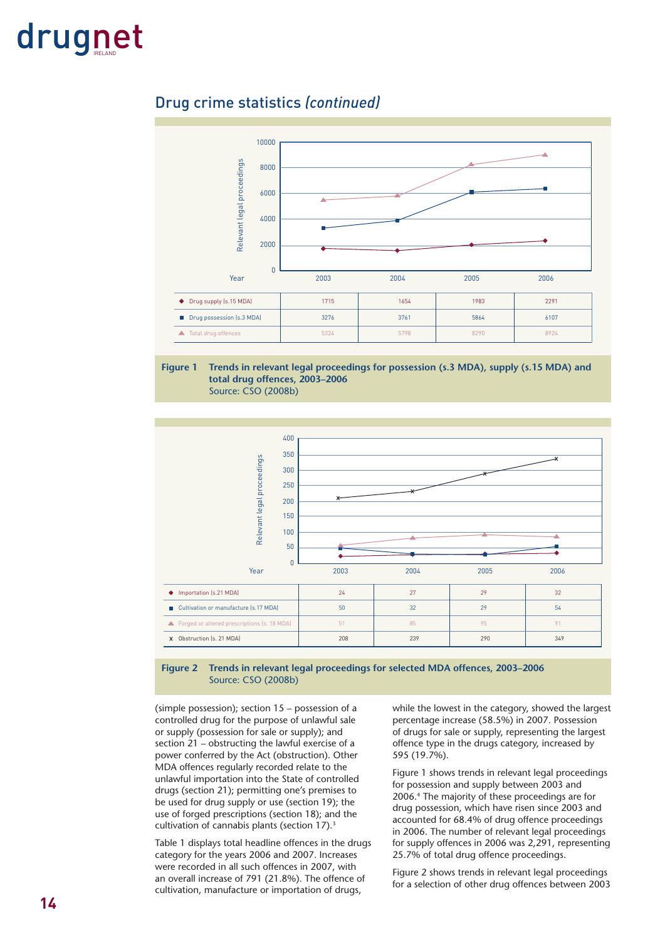#### Drug crime statistics *(continued)*



**Figure 1 Trends in relevant legal proceedings for possession (s.3 MDA), supply (s.15 MDA) and total drug offences, 2003–2006** 

Source: CSO (2008b)



#### **Figure 2 Trends in relevant legal proceedings for selected MDA offences, 2003–2006**  Source: CSO (2008b)

(simple possession); section 15 – possession of a controlled drug for the purpose of unlawful sale or supply (possession for sale or supply); and section 21 – obstructing the lawful exercise of a power conferred by the Act (obstruction). Other MDA offences regularly recorded relate to the unlawful importation into the State of controlled drugs (section 21); permitting one's premises to be used for drug supply or use (section 19); the use of forged prescriptions (section 18); and the cultivation of cannabis plants (section 17).<sup>3</sup>

Table 1 displays total headline offences in the drugs category for the years 2006 and 2007. Increases were recorded in all such offences in 2007, with an overall increase of 791 (21.8%). The offence of cultivation, manufacture or importation of drugs,

while the lowest in the category, showed the largest percentage increase (58.5%) in 2007. Possession of drugs for sale or supply, representing the largest offence type in the drugs category, increased by 595 (19.7%).

Figure 1 shows trends in relevant legal proceedings for possession and supply between 2003 and 2006.4 The majority of these proceedings are for drug possession, which have risen since 2003 and accounted for 68.4% of drug offence proceedings in 2006. The number of relevant legal proceedings for supply offences in 2006 was 2,291, representing 25.7% of total drug offence proceedings.

Figure 2 shows trends in relevant legal proceedings for a selection of other drug offences between 2003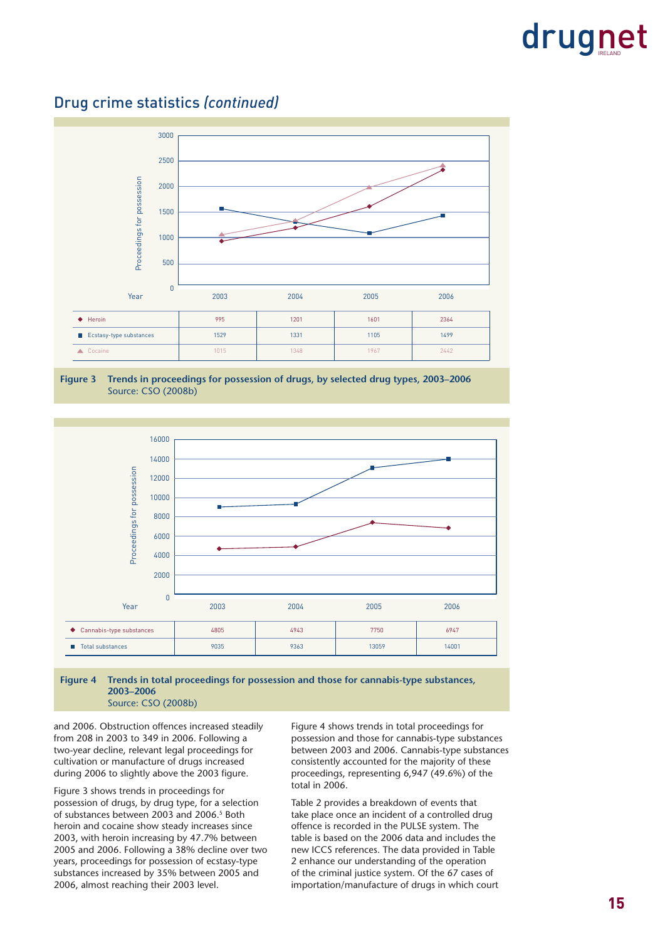3000 2500 Proceedings for possession Proceedings for possession 2000 1500 1000 500  $\overline{0}$ Year 2003 2004 2005 2006 Heroin 995 1201 1601 2364 ■ Ecstasy-type substances 1529 1331 1105 1499 Cocaine 1015 | 1348 | 1367 | 2442

Drug crime statistics *(continued)*





**Figure 4 Trends in total proceedings for possession and those for cannabis-type substances, 2003–2006**  Source: CSO (2008b)

and 2006. Obstruction offences increased steadily from 208 in 2003 to 349 in 2006. Following a two-year decline, relevant legal proceedings for cultivation or manufacture of drugs increased during 2006 to slightly above the 2003 figure.

Figure 3 shows trends in proceedings for possession of drugs, by drug type, for a selection of substances between 2003 and 2006.<sup>5</sup> Both heroin and cocaine show steady increases since 2003, with heroin increasing by 47.7% between 2005 and 2006. Following a 38% decline over two years, proceedings for possession of ecstasy-type substances increased by 35% between 2005 and 2006, almost reaching their 2003 level.

Figure 4 shows trends in total proceedings for possession and those for cannabis-type substances between 2003 and 2006. Cannabis-type substances consistently accounted for the majority of these proceedings, representing 6,947 (49.6%) of the total in 2006.

Table 2 provides a breakdown of events that take place once an incident of a controlled drug offence is recorded in the PULSE system. The table is based on the 2006 data and includes the new ICCS references. The data provided in Table 2 enhance our understanding of the operation of the criminal justice system. Of the 67 cases of importation/manufacture of drugs in which court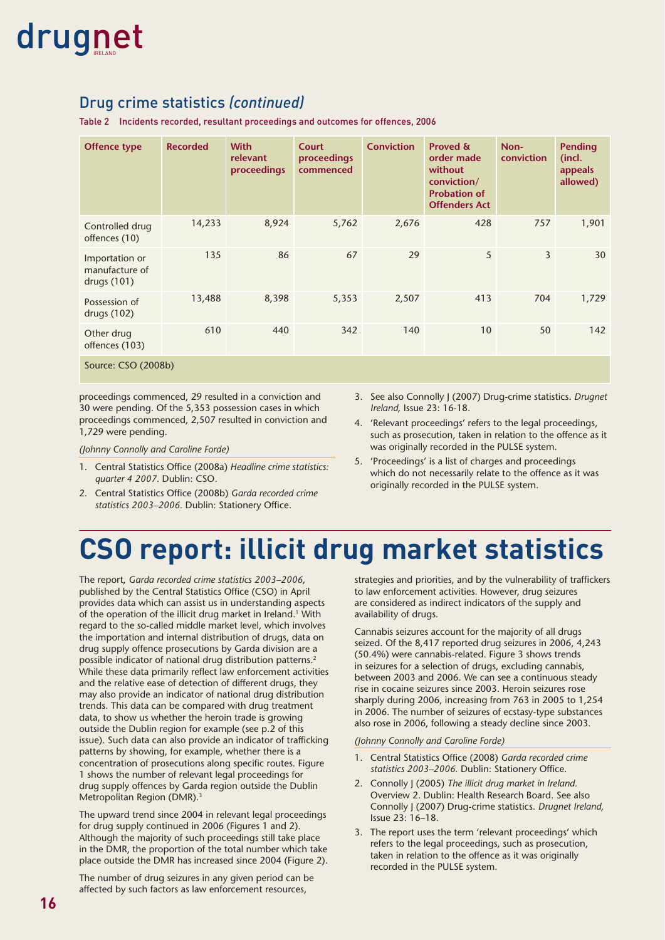#### Drug crime statistics *(continued)*

Table 2 Incidents recorded, resultant proceedings and outcomes for offences, 2006

| <b>Offence type</b>                             | <b>Recorded</b> | <b>With</b><br>relevant<br>proceedings | <b>Court</b><br>proceedings<br>commenced | <b>Conviction</b> | Proved &<br>order made<br>without<br>conviction/<br><b>Probation of</b><br><b>Offenders Act</b> | Non-<br>conviction | <b>Pending</b><br>(incl.<br>appeals<br>allowed) |
|-------------------------------------------------|-----------------|----------------------------------------|------------------------------------------|-------------------|-------------------------------------------------------------------------------------------------|--------------------|-------------------------------------------------|
| Controlled drug<br>offences (10)                | 14,233          | 8,924                                  | 5,762                                    | 2,676             | 428                                                                                             | 757                | 1,901                                           |
| Importation or<br>manufacture of<br>drugs (101) | 135             | 86                                     | 67                                       | 29                | 5                                                                                               | $\overline{3}$     | 30                                              |
| Possession of<br>drugs (102)                    | 13,488          | 8,398                                  | 5,353                                    | 2,507             | 413                                                                                             | 704                | 1,729                                           |
| Other drug<br>offences (103)                    | 610             | 440                                    | 342                                      | 140               | 10                                                                                              | 50                 | 142                                             |
| Source: CSO (2008b)                             |                 |                                        |                                          |                   |                                                                                                 |                    |                                                 |

proceedings commenced, 29 resulted in a conviction and 30 were pending. Of the 5,353 possession cases in which proceedings commenced, 2,507 resulted in conviction and 1,729 were pending.

*(Johnny Connolly and Caroline Forde)*

- 1. Central Statistics Office (2008a) *Headline crime statistics: quarter 4 2007*. Dublin: CSO.
- 2. Central Statistics Office (2008b) Garda recorded crime statistics 2003-2006. Dublin: Stationery Office.
- 3. See also Connolly J (2007) Drug-crime statistics. *Drugnet Ireland,* Issue 23: 16-18.
- 4. 'Relevant proceedings' refers to the legal proceedings, such as prosecution, taken in relation to the offence as it was originally recorded in the PULSE system.
- 5. 'Proceedings' is a list of charges and proceedings which do not necessarily relate to the offence as it was originally recorded in the PULSE system.

### **CSO report: illicit drug market statistics**

The report, *Garda recorded crime statistics 2003–2006*, published by the Central Statistics Office (CSO) in April provides data which can assist us in understanding aspects of the operation of the illicit drug market in Ireland.<sup>1</sup> With regard to the so-called middle market level, which involves the importation and internal distribution of drugs, data on drug supply offence prosecutions by Garda division are a possible indicator of national drug distribution patterns.2 While these data primarily reflect law enforcement activities and the relative ease of detection of different drugs, they may also provide an indicator of national drug distribution trends. This data can be compared with drug treatment data, to show us whether the heroin trade is growing outside the Dublin region for example (see p.2 of this issue). Such data can also provide an indicator of trafficking patterns by showing, for example, whether there is a concentration of prosecutions along specific routes. Figure 1 shows the number of relevant legal proceedings for drug supply offences by Garda region outside the Dublin Metropolitan Region (DMR).<sup>3</sup>

The upward trend since 2004 in relevant legal proceedings for drug supply continued in 2006 (Figures 1 and 2). Although the majority of such proceedings still take place in the DMR, the proportion of the total number which take place outside the DMR has increased since 2004 (Figure 2).

The number of drug seizures in any given period can be affected by such factors as law enforcement resources,

strategies and priorities, and by the vulnerability of traffickers to law enforcement activities. However, drug seizures are considered as indirect indicators of the supply and availability of drugs.

Cannabis seizures account for the majority of all drugs seized. Of the 8,417 reported drug seizures in 2006, 4,243 (50.4%) were cannabis-related. Figure 3 shows trends in seizures for a selection of drugs, excluding cannabis, between 2003 and 2006. We can see a continuous steady rise in cocaine seizures since 2003. Heroin seizures rose sharply during 2006, increasing from 763 in 2005 to 1,254 in 2006. The number of seizures of ecstasy-type substances also rose in 2006, following a steady decline since 2003.

#### *(Johnny Connolly and Caroline Forde)*

- 1. Central Statistics Office (2008) Garda recorded crime statistics 2003-2006. Dublin: Stationery Office.
- 2. Connolly J (2005) *The illicit drug market in Ireland.* Overview 2. Dublin: Health Research Board. See also Connolly J (2007) Drug-crime statistics. *Drugnet Ireland,* Issue 23: 16–18.
- 3. The report uses the term 'relevant proceedings' which refers to the legal proceedings, such as prosecution, taken in relation to the offence as it was originally recorded in the PULSE system.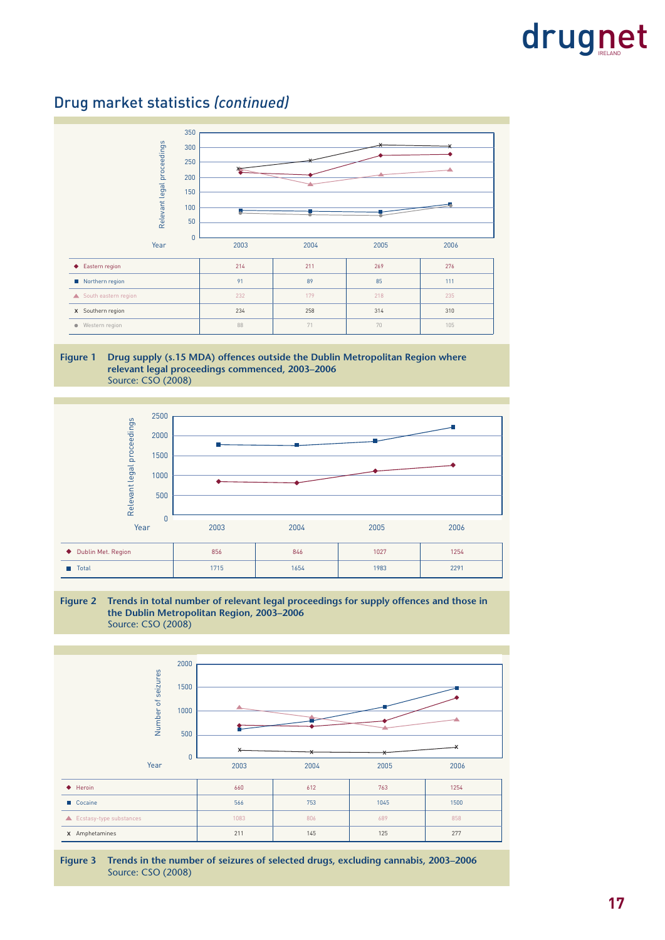Drug market statistics *(continued)*



**Figure 1 Drug supply (s.15 MDA) offences outside the Dublin Metropolitan Region where relevant legal proceedings commenced, 2003–2006** Source: CSO (2008)



#### **Figure 2 Trends in total number of relevant legal proceedings for supply offences and those in the Dublin Metropolitan Region, 2003–2006**  Source: CSO (2008)



**Figure 3 Trends in the number of seizures of selected drugs, excluding cannabis, 2003–2006**  Source: CSO (2008)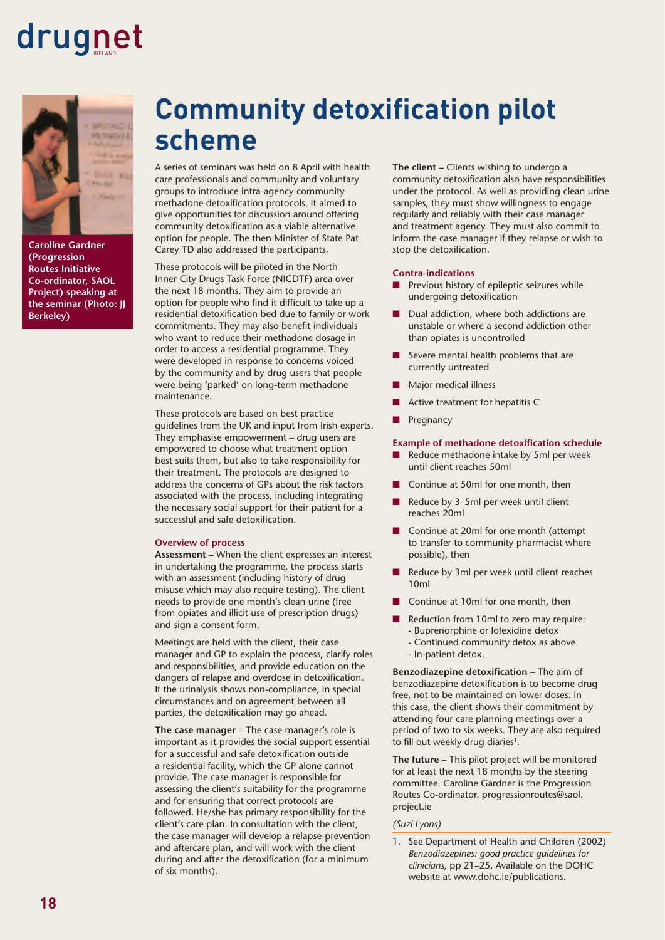

**(Progression Routes Initiative Co-ordinator, SAOL Project) speaking at the seminar (Photo: JJ Berkeley)**

### **Community detoxification pilot scheme**

A series of seminars was held on 8 April with health care professionals and community and voluntary groups to introduce intra-agency community methadone detoxification protocols. It aimed to give opportunities for discussion around offering community detoxification as a viable alternative option for people. The then Minister of State Pat Carey TD also addressed the participants.

These protocols will be piloted in the North Inner City Drugs Task Force (NICDTF) area over the next 18 months. They aim to provide an option for people who find it difficult to take up a residential detoxification bed due to family or work commitments. They may also benefit individuals who want to reduce their methadone dosage in order to access a residential programme. They were developed in response to concerns voiced by the community and by drug users that people were being 'parked' on long-term methadone maintenance.

These protocols are based on best practice guidelines from the UK and input from Irish experts. They emphasise empowerment – drug users are empowered to choose what treatment option best suits them, but also to take responsibility for their treatment. The protocols are designed to address the concerns of GPs about the risk factors associated with the process, including integrating the necessary social support for their patient for a successful and safe detoxification.

#### **Overview of process**

**Assessment –** When the client expresses an interest in undertaking the programme, the process starts with an assessment (including history of drug misuse which may also require testing). The client needs to provide one month's clean urine (free from opiates and illicit use of prescription drugs) and sign a consent form.

Meetings are held with the client, their case manager and GP to explain the process, clarify roles and responsibilities, and provide education on the dangers of relapse and overdose in detoxification. If the urinalysis shows non-compliance, in special circumstances and on agreement between all parties, the detoxification may go ahead.

**The case manager** – The case manager's role is important as it provides the social support essential for a successful and safe detoxification outside a residential facility, which the GP alone cannot provide. The case manager is responsible for assessing the client's suitability for the programme and for ensuring that correct protocols are followed. He/she has primary responsibility for the client's care plan. In consultation with the client, the case manager will develop a relapse-prevention and aftercare plan, and will work with the client during and after the detoxification (for a minimum of six months).

**The client –** Clients wishing to undergo a community detoxification also have responsibilities under the protocol. As well as providing clean urine samples, they must show willingness to engage regularly and reliably with their case manager and treatment agency. They must also commit to inform the case manager if they relapse or wish to stop the detoxification.

#### **Contra-indications**

- Previous history of epileptic seizures while undergoing detoxification
- Dual addiction, where both addictions are unstable or where a second addiction other than opiates is uncontrolled
- Severe mental health problems that are currently untreated
- Major medical illness
- Active treatment for hepatitis C
- Pregnancy

#### **Example of methadone detoxification schedule**

- Reduce methadone intake by 5ml per week until client reaches 50ml
- Continue at 50ml for one month, then
- Reduce by 3-5ml per week until client reaches 20ml
- Continue at 20ml for one month (attempt to transfer to community pharmacist where possible), then
- Reduce by 3ml per week until client reaches 10ml
- Continue at 10ml for one month, then
- Reduction from 10ml to zero may require:
	- Buprenorphine or lofexidine detox
	- Continued community detox as above - In-patient detox.

**Benzodiazepine detoxification** – The aim of benzodiazepine detoxification is to become drug free, not to be maintained on lower doses. In this case, the client shows their commitment by attending four care planning meetings over a period of two to six weeks. They are also required to fill out weekly drug diaries<sup>1</sup>.

**The future** – This pilot project will be monitored for at least the next 18 months by the steering committee. Caroline Gardner is the Progression Routes Co-ordinator. progressionroutes@saol. project.ie

#### *(Suzi Lyons)*

1. See Department of Health and Children (2002) *Benzodiazepines: good practice guidelines for clinicians,* pp 21–25. Available on the DOHC website at www.dohc.ie/publications.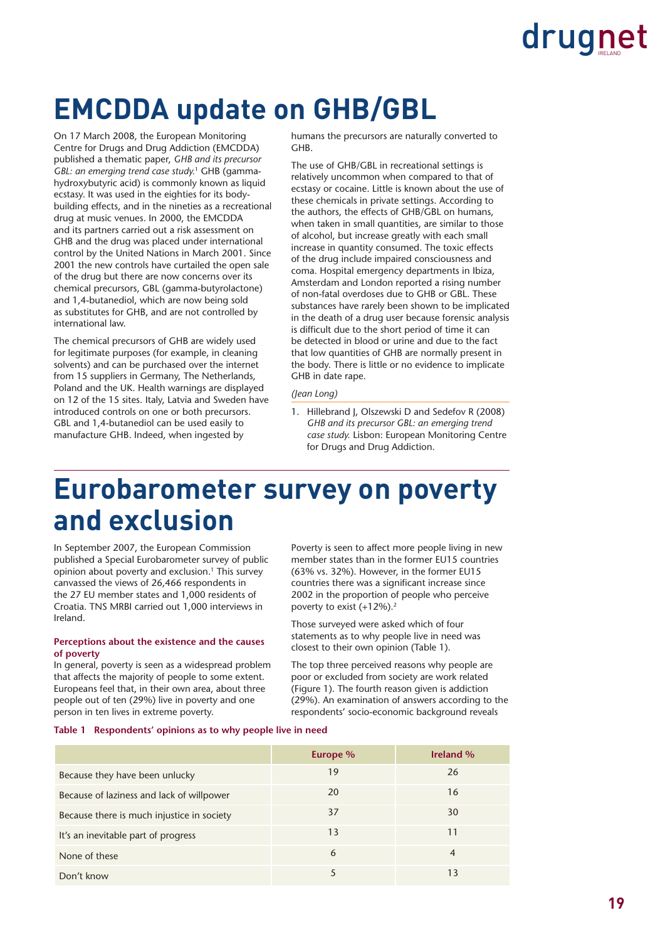### **EMCDDA update on GHB/GBL**

On 17 March 2008, the European Monitoring Centre for Drugs and Drug Addiction (EMCDDA) published a thematic paper, *GHB and its precursor GBL: an emerging trend case study.*1 GHB (gammahydroxybutyric acid) is commonly known as liquid ecstasy. It was used in the eighties for its bodybuilding effects, and in the nineties as a recreational drug at music venues. In 2000, the EMCDDA and its partners carried out a risk assessment on GHB and the drug was placed under international control by the United Nations in March 2001. Since 2001 the new controls have curtailed the open sale of the drug but there are now concerns over its chemical precursors, GBL (gamma-butyrolactone) and 1,4-butanediol, which are now being sold as substitutes for GHB, and are not controlled by international law.

The chemical precursors of GHB are widely used for legitimate purposes (for example, in cleaning solvents) and can be purchased over the internet from 15 suppliers in Germany, The Netherlands, Poland and the UK. Health warnings are displayed on 12 of the 15 sites. Italy, Latvia and Sweden have introduced controls on one or both precursors. GBL and 1,4-butanediol can be used easily to manufacture GHB. Indeed, when ingested by

humans the precursors are naturally converted to GHB.

The use of GHB/GBL in recreational settings is relatively uncommon when compared to that of ecstasy or cocaine. Little is known about the use of these chemicals in private settings. According to the authors, the effects of GHB/GBL on humans, when taken in small quantities, are similar to those of alcohol, but increase greatly with each small increase in quantity consumed. The toxic effects of the drug include impaired consciousness and coma. Hospital emergency departments in Ibiza, Amsterdam and London reported a rising number of non-fatal overdoses due to GHB or GBL. These substances have rarely been shown to be implicated in the death of a drug user because forensic analysis is difficult due to the short period of time it can be detected in blood or urine and due to the fact that low quantities of GHB are normally present in the body. There is little or no evidence to implicate GHB in date rape.

#### *(Jean Long)*

1. Hillebrand J, Olszewski D and Sedefov R (2008) *GHB and its precursor GBL: an emerging trend case study.* Lisbon: European Monitoring Centre for Drugs and Drug Addiction.

### **Eurobarometer survey on poverty and exclusion**

In September 2007, the European Commission published a Special Eurobarometer survey of public opinion about poverty and exclusion.<sup>1</sup> This survey canvassed the views of 26,466 respondents in the 27 EU member states and 1,000 residents of Croatia. TNS MRBI carried out 1,000 interviews in Ireland.

#### **Perceptions about the existence and the causes of poverty**

In general, poverty is seen as a widespread problem that affects the majority of people to some extent. Europeans feel that, in their own area, about three people out of ten (29%) live in poverty and one person in ten lives in extreme poverty.

Poverty is seen to affect more people living in new member states than in the former EU15 countries (63% vs. 32%). However, in the former EU15 countries there was a significant increase since 2002 in the proportion of people who perceive poverty to exist  $(+12%)$ .<sup>2</sup>

Those surveyed were asked which of four statements as to why people live in need was closest to their own opinion (Table 1).

The top three perceived reasons why people are poor or excluded from society are work related (Figure 1). The fourth reason given is addiction (29%). An examination of answers according to the respondents' socio-economic background reveals

#### **Table 1 Respondents' opinions as to why people live in need**

|                                            | Europe % | <b>Ireland %</b> |
|--------------------------------------------|----------|------------------|
| Because they have been unlucky             | 19       | 26               |
| Because of laziness and lack of willpower  | 20       | 16               |
| Because there is much injustice in society | 37       | 30               |
| It's an inevitable part of progress        | 13       | 11               |
| None of these                              | 6        | $\overline{4}$   |
| Don't know                                 |          | 13               |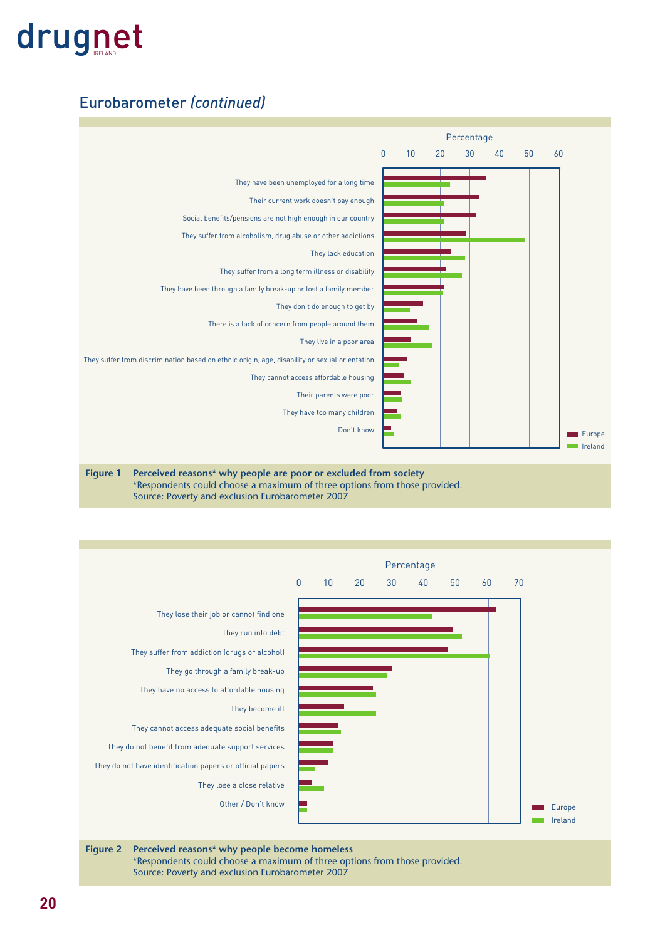#### Eurobarometer *(continued)*





**Figure 2 Perceived reasons\* why people become homeless**  \*Respondents could choose a maximum of three options from those provided. Source: Poverty and exclusion Eurobarometer 2007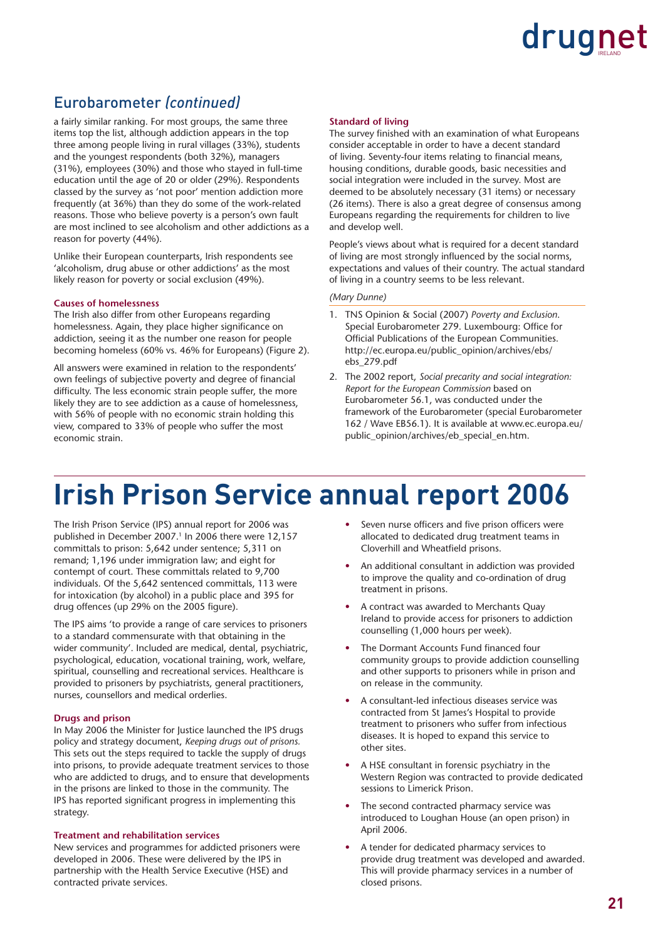#### Eurobarometer *(continued)*

a fairly similar ranking. For most groups, the same three items top the list, although addiction appears in the top three among people living in rural villages (33%), students and the youngest respondents (both 32%), managers (31%), employees (30%) and those who stayed in full-time education until the age of 20 or older (29%). Respondents classed by the survey as 'not poor' mention addiction more frequently (at 36%) than they do some of the work-related reasons. Those who believe poverty is a person's own fault are most inclined to see alcoholism and other addictions as a reason for poverty (44%).

Unlike their European counterparts, Irish respondents see 'alcoholism, drug abuse or other addictions' as the most likely reason for poverty or social exclusion (49%).

#### **Causes of homelessness**

The Irish also differ from other Europeans regarding homelessness. Again, they place higher significance on addiction, seeing it as the number one reason for people becoming homeless (60% vs. 46% for Europeans) (Figure 2).

All answers were examined in relation to the respondents' own feelings of subjective poverty and degree of financial difficulty. The less economic strain people suffer, the more likely they are to see addiction as a cause of homelessness, with 56% of people with no economic strain holding this view, compared to 33% of people who suffer the most economic strain.

#### **Standard of living**

The survey finished with an examination of what Europeans consider acceptable in order to have a decent standard of living. Seventy-four items relating to financial means, housing conditions, durable goods, basic necessities and social integration were included in the survey. Most are deemed to be absolutely necessary (31 items) or necessary (26 items). There is also a great degree of consensus among Europeans regarding the requirements for children to live and develop well.

People's views about what is required for a decent standard of living are most strongly influenced by the social norms, expectations and values of their country. The actual standard of living in a country seems to be less relevant.

#### *(Mary Dunne)*

- 1. TNS Opinion & Social (2007) *Poverty and Exclusion*. Special Eurobarometer 279. Luxembourg: Office for Official Publications of the European Communities. http://ec.europa.eu/public\_opinion/archives/ebs/ ebs\_279.pdf
- 2. The 2002 report, *Social precarity and social integration: Report for the European Commission* based on Eurobarometer 56.1, was conducted under the framework of the Eurobarometer (special Eurobarometer 162 / Wave EB56.1). It is available at www.ec.europa.eu/ public\_opinion/archives/eb\_special\_en.htm.

### **Irish Prison Service annual report 2006**

The Irish Prison Service (IPS) annual report for 2006 was published in December 2007.<sup>1</sup> In 2006 there were 12,157 committals to prison: 5,642 under sentence; 5,311 on remand; 1,196 under immigration law; and eight for contempt of court. These committals related to 9,700 individuals. Of the 5,642 sentenced committals, 113 were for intoxication (by alcohol) in a public place and 395 for drug offences (up 29% on the 2005 figure).

The IPS aims 'to provide a range of care services to prisoners to a standard commensurate with that obtaining in the wider community'. Included are medical, dental, psychiatric, psychological, education, vocational training, work, welfare, spiritual, counselling and recreational services. Healthcare is provided to prisoners by psychiatrists, general practitioners, nurses, counsellors and medical orderlies.

#### **Drugs and prison**

In May 2006 the Minister for Justice launched the IPS drugs policy and strategy document, *Keeping drugs out of prisons.* This sets out the steps required to tackle the supply of drugs into prisons, to provide adequate treatment services to those who are addicted to drugs, and to ensure that developments in the prisons are linked to those in the community. The IPS has reported significant progress in implementing this strategy.

#### **Treatment and rehabilitation services**

New services and programmes for addicted prisoners were developed in 2006. These were delivered by the IPS in partnership with the Health Service Executive (HSE) and contracted private services.

- Seven nurse officers and five prison officers were allocated to dedicated drug treatment teams in Cloverhill and Wheatfield prisons.
- An additional consultant in addiction was provided to improve the quality and co-ordination of drug treatment in prisons.
- A contract was awarded to Merchants Quay Ireland to provide access for prisoners to addiction counselling (1,000 hours per week).
- The Dormant Accounts Fund financed four community groups to provide addiction counselling and other supports to prisoners while in prison and on release in the community.
- A consultant-led infectious diseases service was contracted from St James's Hospital to provide treatment to prisoners who suffer from infectious diseases. It is hoped to expand this service to other sites.
- A HSE consultant in forensic psychiatry in the Western Region was contracted to provide dedicated sessions to Limerick Prison.
- The second contracted pharmacy service was introduced to Loughan House (an open prison) in April 2006.
- A tender for dedicated pharmacy services to provide drug treatment was developed and awarded. This will provide pharmacy services in a number of closed prisons.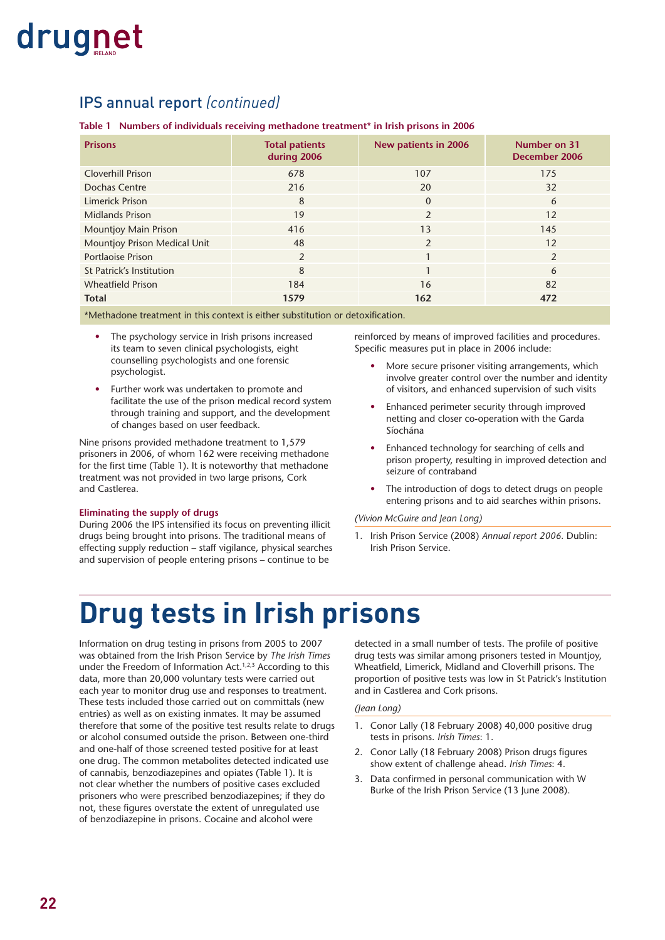#### IPS annual report *(continued)*

#### **Table 1 Numbers of individuals receiving methadone treatment\* in Irish prisons in 2006**

| <b>Prisons</b>               | <b>Total patients</b><br>during 2006 | New patients in 2006 | Number on 31<br>December 2006 |
|------------------------------|--------------------------------------|----------------------|-------------------------------|
| <b>Cloverhill Prison</b>     | 678                                  | 107                  | 175                           |
| Dochas Centre                | 216                                  | 20                   | 32                            |
| Limerick Prison              | 8                                    | $\Omega$             | 6                             |
| <b>Midlands Prison</b>       | 19                                   | $\mathfrak{p}$       | 12                            |
| <b>Mountjoy Main Prison</b>  | 416                                  | 13                   | 145                           |
| Mountjoy Prison Medical Unit | 48                                   | $\mathfrak{p}$       | 12                            |
| <b>Portlaoise Prison</b>     | 2                                    |                      | $\mathcal{P}$                 |
| St Patrick's Institution     | 8                                    |                      | 6                             |
| <b>Wheatfield Prison</b>     | 184                                  | 16                   | 82                            |
| <b>Total</b>                 | 1579                                 | 162                  | 472                           |

\*Methadone treatment in this context is either substitution or detoxification.

- The psychology service in Irish prisons increased its team to seven clinical psychologists, eight counselling psychologists and one forensic psychologist.
- Further work was undertaken to promote and facilitate the use of the prison medical record system through training and support, and the development of changes based on user feedback.

Nine prisons provided methadone treatment to 1,579 prisoners in 2006, of whom 162 were receiving methadone for the first time (Table 1). It is noteworthy that methadone treatment was not provided in two large prisons, Cork and Castlerea.

#### **Eliminating the supply of drugs**

During 2006 the IPS intensified its focus on preventing illicit drugs being brought into prisons. The traditional means of effecting supply reduction – staff vigilance, physical searches and supervision of people entering prisons – continue to be

reinforced by means of improved facilities and procedures. Specific measures put in place in 2006 include:

- More secure prisoner visiting arrangements, which involve greater control over the number and identity of visitors, and enhanced supervision of such visits
- Enhanced perimeter security through improved netting and closer co-operation with the Garda Síochána
- Enhanced technology for searching of cells and prison property, resulting in improved detection and seizure of contraband
- The introduction of dogs to detect drugs on people entering prisons and to aid searches within prisons.

#### *(Vivion McGuire and Jean Long)*

1. Irish Prison Service (2008) *Annual report 2006.* Dublin: Irish Prison Service.

### **Drug tests in Irish prisons**

Information on drug testing in prisons from 2005 to 2007 was obtained from the Irish Prison Service by *The Irish Times* under the Freedom of Information Act.<sup>1,2,3</sup> According to this data, more than 20,000 voluntary tests were carried out each year to monitor drug use and responses to treatment. These tests included those carried out on committals (new entries) as well as on existing inmates. It may be assumed therefore that some of the positive test results relate to drugs or alcohol consumed outside the prison. Between one-third and one-half of those screened tested positive for at least one drug. The common metabolites detected indicated use of cannabis, benzodiazepines and opiates (Table 1). It is not clear whether the numbers of positive cases excluded prisoners who were prescribed benzodiazepines; if they do not, these figures overstate the extent of unregulated use of benzodiazepine in prisons. Cocaine and alcohol were

detected in a small number of tests. The profile of positive drug tests was similar among prisoners tested in Mountjoy, Wheatfield, Limerick, Midland and Cloverhill prisons. The proportion of positive tests was low in St Patrick's Institution and in Castlerea and Cork prisons.

#### *(Jean Long)*

- 1. Conor Lally (18 February 2008) 40,000 positive drug tests in prisons. *Irish Times*: 1.
- 2. Conor Lally (18 February 2008) Prison drugs figures show extent of challenge ahead. *Irish Times*: 4.
- 3. Data confirmed in personal communication with W Burke of the Irish Prison Service (13 June 2008).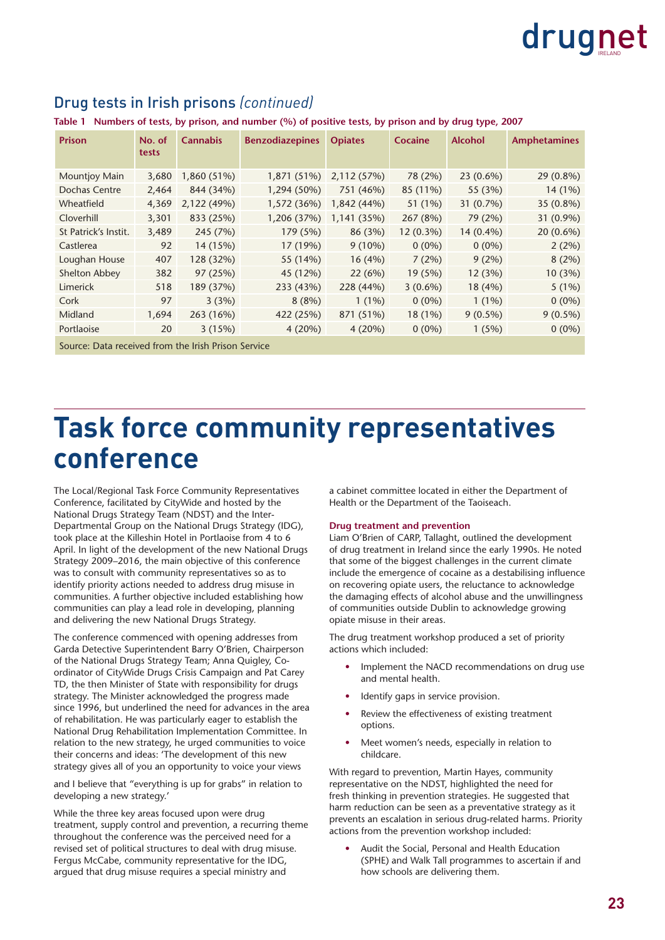| <b>Prison</b>                                       | No. of<br>tests | <b>Cannabis</b> | <b>Benzodiazepines</b> | <b>Opiates</b> | Cocaine     | <b>Alcohol</b> | <b>Amphetamines</b> |  |
|-----------------------------------------------------|-----------------|-----------------|------------------------|----------------|-------------|----------------|---------------------|--|
| Mountjoy Main                                       | 3,680           | 1,860 (51%)     | 1,871 (51%)            | 2,112 (57%)    | 78 (2%)     | $23(0.6\%)$    | 29 (0.8%)           |  |
| Dochas Centre                                       | 2,464           | 844 (34%)       | 1,294 (50%)            | 751 (46%)      | 85 (11%)    | 55 (3%)        | 14 (1%)             |  |
| Wheatfield                                          | 4,369           | 2,122 (49%)     | 1,572 (36%)            | 1,842 (44%)    | 51 (1%)     | 31 (0.7%)      | 35 (0.8%)           |  |
| Cloverhill                                          | 3,301           | 833 (25%)       | 1,206 (37%)            | 1,141 (35%)    | 267 (8%)    | 79 (2%)        | 31 (0.9%)           |  |
| St Patrick's Instit.                                | 3,489           | 245 (7%)        | 179 (5%)               | 86 (3%)        | $12(0.3\%)$ | 14 (0.4%)      | $20(0.6\%)$         |  |
| Castlerea                                           | 92              | 14 (15%)        | 17 (19%)               | $9(10\%)$      | $0(0\%)$    | $0(0\%)$       | 2(2%)               |  |
| Loughan House                                       | 407             | 128 (32%)       | 55 (14%)               | 16(4%)         | 7(2%)       | 9(2%)          | 8(2%)               |  |
| Shelton Abbey                                       | 382             | 97 (25%)        | 45 (12%)               | 22(6%)         | 19(5%)      | 12(3%)         | 10(3%)              |  |
| Limerick                                            | 518             | 189 (37%)       | 233 (43%)              | 228 (44%)      | $3(0.6\%)$  | 18(4%)         | 5(1%)               |  |
| Cork                                                | 97              | 3(3%)           | 8(8%)                  | $1(1\%)$       | $0(0\%)$    | $1(1\%)$       | $0(0\%)$            |  |
| Midland                                             | 1,694           | 263 (16%)       | 422 (25%)              | 871 (51%)      | 18 (1%)     | $9(0.5\%)$     | $9(0.5\%)$          |  |
| Portlaoise                                          | 20              | 3(15%)          | 4(20%)                 | 4(20%)         | $0(0\%)$    | 1(5%)          | $0(0\%)$            |  |
| Source: Data received from the Irish Prison Service |                 |                 |                        |                |             |                |                     |  |

#### Drug tests in Irish prisons *(continued)*

**Table 1 Numbers of tests, by prison, and number (%) of positive tests, by prison and by drug type, 2007** 

### **Task force community representatives conference**

The Local/Regional Task Force Community Representatives Conference, facilitated by CityWide and hosted by the National Drugs Strategy Team (NDST) and the Inter-Departmental Group on the National Drugs Strategy (IDG), took place at the Killeshin Hotel in Portlaoise from 4 to 6 April. In light of the development of the new National Drugs Strategy 2009–2016, the main objective of this conference was to consult with community representatives so as to identify priority actions needed to address drug misuse in communities. A further objective included establishing how communities can play a lead role in developing, planning and delivering the new National Drugs Strategy.

The conference commenced with opening addresses from Garda Detective Superintendent Barry O'Brien, Chairperson of the National Drugs Strategy Team; Anna Quigley, Coordinator of CityWide Drugs Crisis Campaign and Pat Carey TD, the then Minister of State with responsibility for drugs strategy. The Minister acknowledged the progress made since 1996, but underlined the need for advances in the area of rehabilitation. He was particularly eager to establish the National Drug Rehabilitation Implementation Committee. In relation to the new strategy, he urged communities to voice their concerns and ideas: 'The development of this new strategy gives all of you an opportunity to voice your views

and I believe that "everything is up for grabs" in relation to developing a new strategy.'

While the three key areas focused upon were drug treatment, supply control and prevention, a recurring theme throughout the conference was the perceived need for a revised set of political structures to deal with drug misuse. Fergus McCabe, community representative for the IDG, argued that drug misuse requires a special ministry and

a cabinet committee located in either the Department of Health or the Department of the Taoiseach.

#### **Drug treatment and prevention**

Liam O'Brien of CARP, Tallaght, outlined the development of drug treatment in Ireland since the early 1990s. He noted that some of the biggest challenges in the current climate include the emergence of cocaine as a destabilising influence on recovering opiate users, the reluctance to acknowledge the damaging effects of alcohol abuse and the unwillingness of communities outside Dublin to acknowledge growing opiate misuse in their areas.

The drug treatment workshop produced a set of priority actions which included:

- Implement the NACD recommendations on drug use and mental health.
- Identify gaps in service provision.
- Review the effectiveness of existing treatment options.
- Meet women's needs, especially in relation to childcare.

With regard to prevention, Martin Hayes, community representative on the NDST, highlighted the need for fresh thinking in prevention strategies. He suggested that harm reduction can be seen as a preventative strategy as it prevents an escalation in serious drug-related harms. Priority actions from the prevention workshop included:

• Audit the Social, Personal and Health Education (SPHE) and Walk Tall programmes to ascertain if and how schools are delivering them.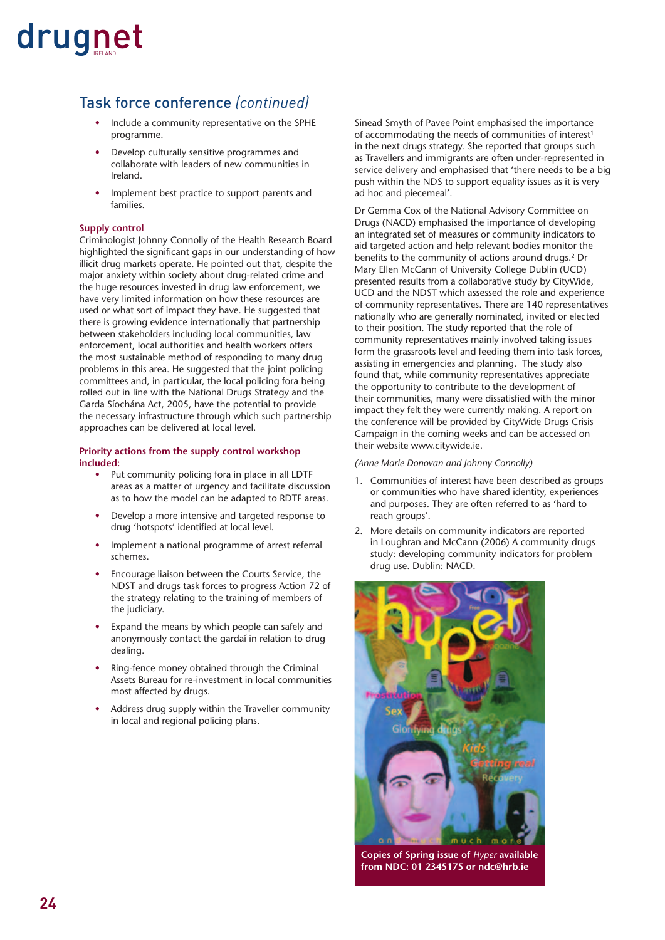#### Task force conference *(continued)*

- Include a community representative on the SPHE programme.
- Develop culturally sensitive programmes and collaborate with leaders of new communities in Ireland.
- Implement best practice to support parents and families.

#### **Supply control**

Criminologist Johnny Connolly of the Health Research Board highlighted the significant gaps in our understanding of how illicit drug markets operate. He pointed out that, despite the major anxiety within society about drug-related crime and the huge resources invested in drug law enforcement, we have very limited information on how these resources are used or what sort of impact they have. He suggested that there is growing evidence internationally that partnership between stakeholders including local communities, law enforcement, local authorities and health workers offers the most sustainable method of responding to many drug problems in this area. He suggested that the joint policing committees and, in particular, the local policing fora being rolled out in line with the National Drugs Strategy and the Garda Síochána Act, 2005, have the potential to provide the necessary infrastructure through which such partnership approaches can be delivered at local level.

#### **Priority actions from the supply control workshop included:**

- Put community policing fora in place in all LDTF areas as a matter of urgency and facilitate discussion as to how the model can be adapted to RDTF areas.
- Develop a more intensive and targeted response to drug 'hotspots' identified at local level.
- Implement a national programme of arrest referral schemes.
- Encourage liaison between the Courts Service, the NDST and drugs task forces to progress Action 72 of the strategy relating to the training of members of the judiciary.
- Expand the means by which people can safely and anonymously contact the gardaí in relation to drug dealing.
- Ring-fence money obtained through the Criminal Assets Bureau for re-investment in local communities most affected by drugs.
- Address drug supply within the Traveller community in local and regional policing plans.

Sinead Smyth of Pavee Point emphasised the importance of accommodating the needs of communities of interest<sup>1</sup> in the next drugs strategy. She reported that groups such as Travellers and immigrants are often under-represented in service delivery and emphasised that 'there needs to be a big push within the NDS to support equality issues as it is very ad hoc and piecemeal'.

Dr Gemma Cox of the National Advisory Committee on Drugs (NACD) emphasised the importance of developing an integrated set of measures or community indicators to aid targeted action and help relevant bodies monitor the benefits to the community of actions around drugs.<sup>2</sup> Dr Mary Ellen McCann of University College Dublin (UCD) presented results from a collaborative study by CityWide, UCD and the NDST which assessed the role and experience of community representatives. There are 140 representatives nationally who are generally nominated, invited or elected to their position. The study reported that the role of community representatives mainly involved taking issues form the grassroots level and feeding them into task forces, assisting in emergencies and planning. The study also found that, while community representatives appreciate the opportunity to contribute to the development of their communities, many were dissatisfied with the minor impact they felt they were currently making. A report on the conference will be provided by CityWide Drugs Crisis Campaign in the coming weeks and can be accessed on their website www.citywide.ie.

#### *(Anne Marie Donovan and Johnny Connolly)*

- 1. Communities of interest have been described as groups or communities who have shared identity, experiences and purposes. They are often referred to as 'hard to reach groups'.
- 2. More details on community indicators are reported in Loughran and McCann (2006) A community drugs study: developing community indicators for problem drug use. Dublin: NACD.



**Copies of Spring issue of** *Hyper* **available from NDC: 01 2345175 or ndc@hrb.ie**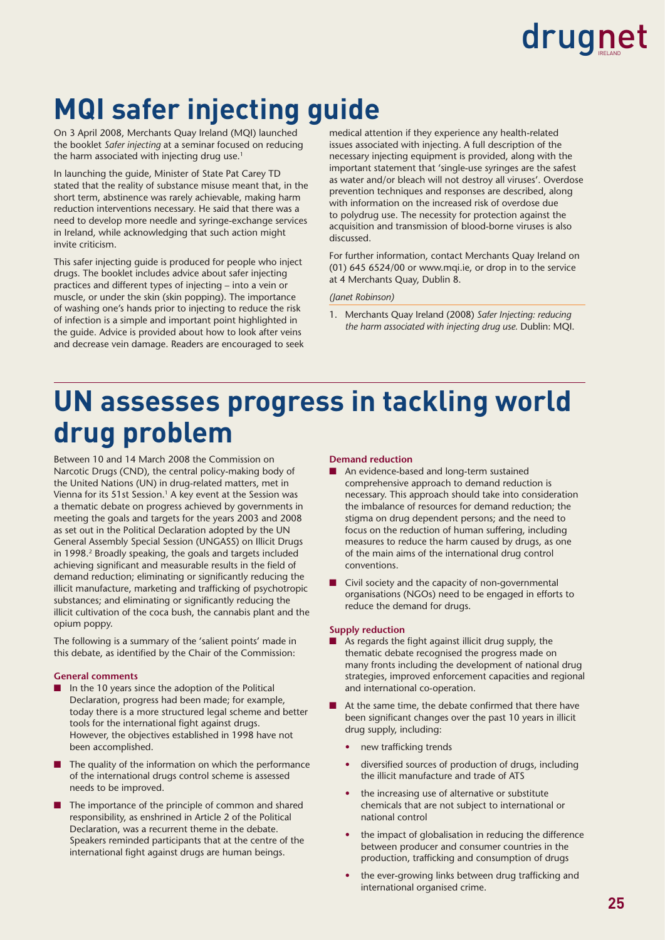### **MQI safer injecting guide**

On 3 April 2008, Merchants Quay Ireland (MQI) launched the booklet *Safer injecting* at a seminar focused on reducing the harm associated with injecting drug use.<sup>1</sup>

In launching the guide, Minister of State Pat Carey TD stated that the reality of substance misuse meant that, in the short term, abstinence was rarely achievable, making harm reduction interventions necessary. He said that there was a need to develop more needle and syringe-exchange services in Ireland, while acknowledging that such action might invite criticism.

This safer injecting guide is produced for people who inject drugs. The booklet includes advice about safer injecting practices and different types of injecting – into a vein or muscle, or under the skin (skin popping). The importance of washing one's hands prior to injecting to reduce the risk of infection is a simple and important point highlighted in the guide. Advice is provided about how to look after veins and decrease vein damage. Readers are encouraged to seek medical attention if they experience any health-related issues associated with injecting. A full description of the necessary injecting equipment is provided, along with the important statement that 'single-use syringes are the safest as water and/or bleach will not destroy all viruses'. Overdose prevention techniques and responses are described, along with information on the increased risk of overdose due to polydrug use. The necessity for protection against the acquisition and transmission of blood-borne viruses is also discussed.

For further information, contact Merchants Quay Ireland on (01) 645 6524/00 or www.mqi.ie, or drop in to the service at 4 Merchants Quay, Dublin 8.

#### *(Janet Robinson)*

1. Merchants Quay Ireland (2008) *Safer Injecting: reducing the harm associated with injecting drug use.* Dublin: MQI.

### **UN assesses progress in tackling world drug problem**

Between 10 and 14 March 2008 the Commission on Narcotic Drugs (CND), the central policy-making body of the United Nations (UN) in drug-related matters, met in Vienna for its 51st Session.<sup>1</sup> A key event at the Session was a thematic debate on progress achieved by governments in meeting the goals and targets for the years 2003 and 2008 as set out in the Political Declaration adopted by the UN General Assembly Special Session (UNGASS) on Illicit Drugs in 1998.<sup>2</sup> Broadly speaking, the goals and targets included achieving significant and measurable results in the field of demand reduction; eliminating or significantly reducing the illicit manufacture, marketing and trafficking of psychotropic substances; and eliminating or significantly reducing the illicit cultivation of the coca bush, the cannabis plant and the opium poppy.

The following is a summary of the 'salient points' made in this debate, as identified by the Chair of the Commission:

#### **General comments**

- In the 10 years since the adoption of the Political Declaration, progress had been made; for example, today there is a more structured legal scheme and better tools for the international fight against drugs. However, the objectives established in 1998 have not been accomplished.
- The quality of the information on which the performance of the international drugs control scheme is assessed needs to be improved.
- The importance of the principle of common and shared responsibility, as enshrined in Article 2 of the Political Declaration, was a recurrent theme in the debate. Speakers reminded participants that at the centre of the international fight against drugs are human beings.

#### **Demand reduction**

- An evidence-based and long-term sustained comprehensive approach to demand reduction is necessary. This approach should take into consideration the imbalance of resources for demand reduction; the stigma on drug dependent persons; and the need to focus on the reduction of human suffering, including measures to reduce the harm caused by drugs, as one of the main aims of the international drug control conventions.
- Civil society and the capacity of non-governmental organisations (NGOs) need to be engaged in efforts to reduce the demand for drugs.

#### **Supply reduction**

- As regards the fight against illicit drug supply, the thematic debate recognised the progress made on many fronts including the development of national drug strategies, improved enforcement capacities and regional and international co-operation.
- At the same time, the debate confirmed that there have been significant changes over the past 10 years in illicit drug supply, including:
	- new trafficking trends
	- diversified sources of production of drugs, including the illicit manufacture and trade of ATS
	- the increasing use of alternative or substitute chemicals that are not subject to international or national control
	- the impact of globalisation in reducing the difference between producer and consumer countries in the production, trafficking and consumption of drugs
	- the ever-growing links between drug trafficking and international organised crime.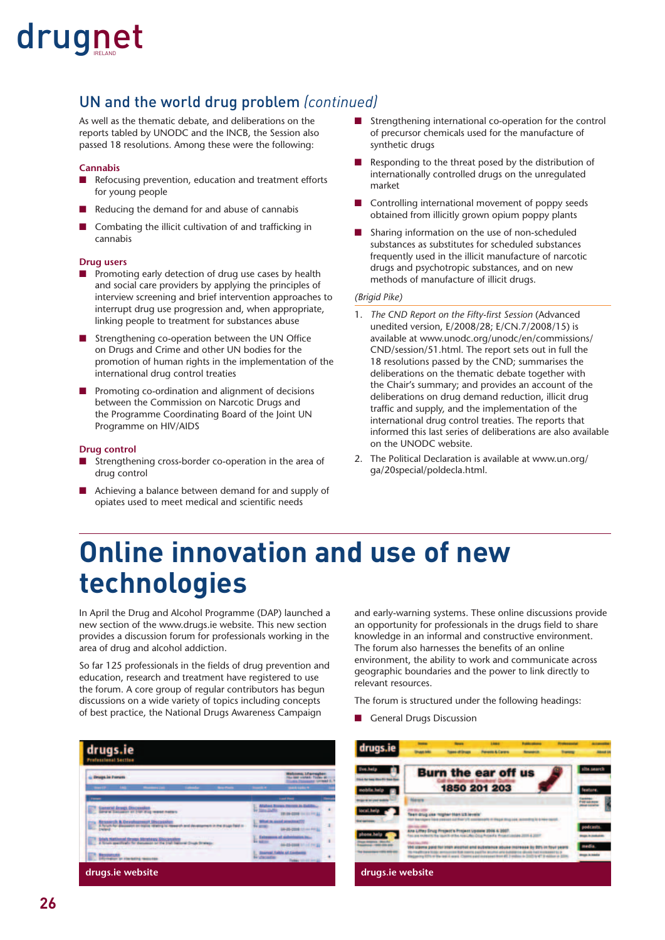#### UN and the world drug problem *(continued)*

As well as the thematic debate, and deliberations on the reports tabled by UNODC and the INCB, the Session also passed 18 resolutions. Among these were the following:

#### **Cannabis**

- Refocusing prevention, education and treatment efforts for young people
- Reducing the demand for and abuse of cannabis
- Combating the illicit cultivation of and trafficking in cannabis

#### **Drug users**

- Promoting early detection of drug use cases by health and social care providers by applying the principles of interview screening and brief intervention approaches to interrupt drug use progression and, when appropriate, linking people to treatment for substances abuse
- Strengthening co-operation between the UN Office on Drugs and Crime and other UN bodies for the promotion of human rights in the implementation of the international drug control treaties
- Promoting co-ordination and alignment of decisions between the Commission on Narcotic Drugs and the Programme Coordinating Board of the Joint UN Programme on HIV/AIDS

#### **Drug control**

- Strengthening cross-border co-operation in the area of drug control
- Achieving a balance between demand for and supply of opiates used to meet medical and scientific needs
- Strengthening international co-operation for the control of precursor chemicals used for the manufacture of synthetic drugs
- Responding to the threat posed by the distribution of internationally controlled drugs on the unregulated market
- Controlling international movement of poppy seeds obtained from illicitly grown opium poppy plants
- Sharing information on the use of non-scheduled substances as substitutes for scheduled substances frequently used in the illicit manufacture of narcotic drugs and psychotropic substances, and on new methods of manufacture of illicit drugs.

#### *(Brigid Pike)*

- 1. The CND Report on the Fifty-first Session (Advanced unedited version, E/2008/28; E/CN.7/2008/15) is available at www.unodc.org/unodc/en/commissions/ CND/session/51.html. The report sets out in full the 18 resolutions passed by the CND; summarises the deliberations on the thematic debate together with the Chair's summary; and provides an account of the deliberations on drug demand reduction, illicit drug traffic and supply, and the implementation of the international drug control treaties. The reports that informed this last series of deliberations are also available on the UNODC website.
- 2. The Political Declaration is available at www.un.org/ ga/20special/poldecla.html.

### **Online innovation and use of new technologies**

In April the Drug and Alcohol Programme (DAP) launched a new section of the www.drugs.ie website. This new section provides a discussion forum for professionals working in the area of drug and alcohol addiction.

So far 125 professionals in the fields of drug prevention and education, research and treatment have registered to use the forum. A core group of regular contributors has begun discussions on a wide variety of topics including concepts of best practice, the National Drugs Awareness Campaign

drugs.ie **drugs.ie website drugs.ie website**

and early-warning systems. These online discussions provide an opportunity for professionals in the drugs field to share knowledge in an informal and constructive environment. The forum also harnesses the benefits of an online environment, the ability to work and communicate across geographic boundaries and the power to link directly to relevant resources.

The forum is structured under the following headings:

■ General Drugs Discussion

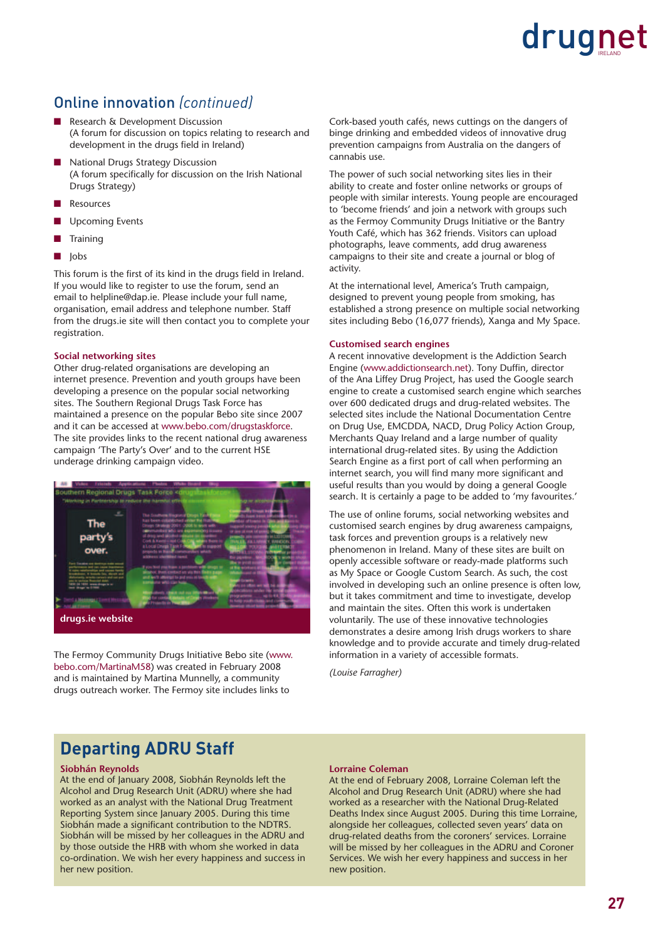#### Online innovation *(continued)*

- Research & Development Discussion (A forum for discussion on topics relating to research and development in the drugs field in Ireland)
- National Drugs Strategy Discussion (A forum specifically for discussion on the Irish National Drugs Strategy)
- **Resources**
- Upcoming Events
- Training
- Jobs

This forum is the first of its kind in the drugs field in Ireland. If you would like to register to use the forum, send an email to helpline@dap.ie. Please include your full name, organisation, email address and telephone number. Staff from the drugs.ie site will then contact you to complete your registration.

#### **Social networking sites**

Other drug-related organisations are developing an internet presence. Prevention and youth groups have been developing a presence on the popular social networking sites. The Southern Regional Drugs Task Force has maintained a presence on the popular Bebo site since 2007 and it can be accessed at www.bebo.com/drugstaskforce. The site provides links to the recent national drug awareness campaign 'The Party's Over' and to the current HSE underage drinking campaign video.



The Fermoy Community Drugs Initiative Bebo site (www. bebo.com/MartinaM58) was created in February 2008 and is maintained by Martina Munnelly, a community drugs outreach worker. The Fermoy site includes links to

Cork-based youth cafés, news cuttings on the dangers of binge drinking and embedded videos of innovative drug prevention campaigns from Australia on the dangers of cannabis use.

The power of such social networking sites lies in their ability to create and foster online networks or groups of people with similar interests. Young people are encouraged to 'become friends' and join a network with groups such as the Fermoy Community Drugs Initiative or the Bantry Youth Café, which has 362 friends. Visitors can upload photographs, leave comments, add drug awareness campaigns to their site and create a journal or blog of activity.

At the international level, America's Truth campaign, designed to prevent young people from smoking, has established a strong presence on multiple social networking sites including Bebo (16,077 friends), Xanga and My Space.

#### **Customised search engines**

A recent innovative development is the Addiction Search Engine (www.addictionsearch.net). Tony Duffin, director of the Ana Liffey Drug Project, has used the Google search engine to create a customised search engine which searches over 600 dedicated drugs and drug-related websites. The selected sites include the National Documentation Centre on Drug Use, EMCDDA, NACD, Drug Policy Action Group, Merchants Quay Ireland and a large number of quality international drug-related sites. By using the Addiction Search Engine as a first port of call when performing an internet search, you will find many more significant and useful results than you would by doing a general Google search. It is certainly a page to be added to 'my favourites.'

The use of online forums, social networking websites and customised search engines by drug awareness campaigns, task forces and prevention groups is a relatively new phenomenon in Ireland. Many of these sites are built on openly accessible software or ready-made platforms such as My Space or Google Custom Search. As such, the cost involved in developing such an online presence is often low, but it takes commitment and time to investigate, develop and maintain the sites. Often this work is undertaken voluntarily. The use of these innovative technologies demonstrates a desire among Irish drugs workers to share knowledge and to provide accurate and timely drug-related information in a variety of accessible formats.

*(Louise Farragher)*

#### **Departing ADRU Staff**

#### **Siobhán Reynolds**

At the end of January 2008, Siobhán Reynolds left the Alcohol and Drug Research Unit (ADRU) where she had worked as an analyst with the National Drug Treatment Reporting System since January 2005. During this time Siobhán made a significant contribution to the NDTRS. Siobhán will be missed by her colleagues in the ADRU and by those outside the HRB with whom she worked in data co-ordination. We wish her every happiness and success in her new position.

#### **Lorraine Coleman**

At the end of February 2008, Lorraine Coleman left the Alcohol and Drug Research Unit (ADRU) where she had worked as a researcher with the National Drug-Related Deaths Index since August 2005. During this time Lorraine, alongside her colleagues, collected seven years' data on drug-related deaths from the coroners' services. Lorraine will be missed by her colleagues in the ADRU and Coroner Services. We wish her every happiness and success in her new position.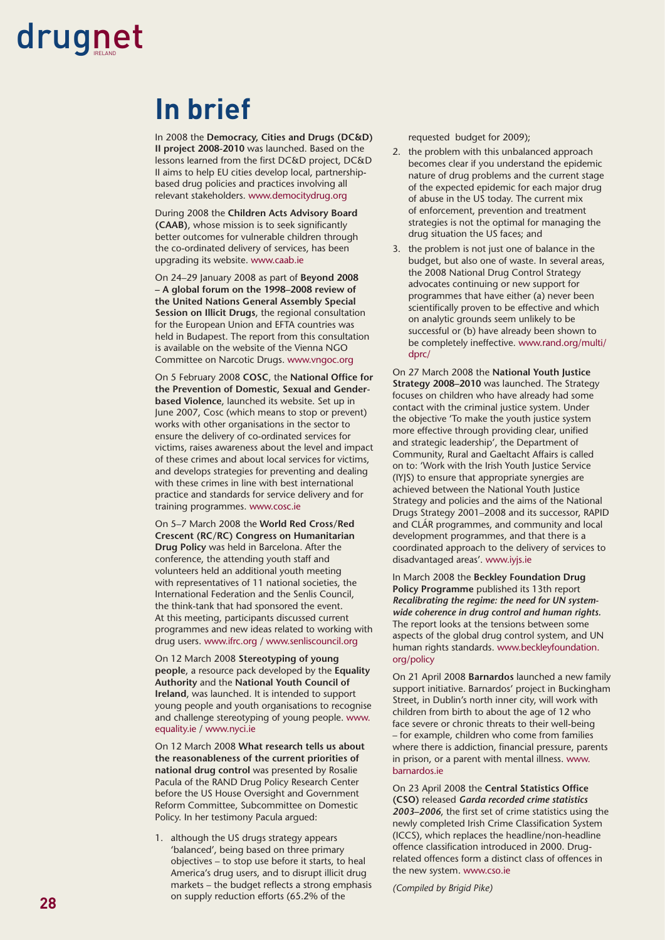### **In brief**

In 2008 the **Democracy, Cities and Drugs (DC&D) II project 2008-2010** was launched. Based on the lessons learned from the first DC&D project, DC&D II aims to help EU cities develop local, partnershipbased drug policies and practices involving all relevant stakeholders. www.democitydrug.org

During 2008 the **Children Acts Advisory Board**  (CAAB), whose mission is to seek significantly better outcomes for vulnerable children through the co-ordinated delivery of services, has been upgrading its website. www.caab.ie

On 24–29 January 2008 as part of **Beyond 2008 – A global forum on the 1998–2008 review of the United Nations General Assembly Special Session on Illicit Drugs**, the regional consultation for the European Union and EFTA countries was held in Budapest. The report from this consultation is available on the website of the Vienna NGO Committee on Narcotic Drugs. www.vngoc.org

On 5 February 2008 COSC, the National Office for **the Prevention of Domestic, Sexual and Genderbased Violence**, launched its website. Set up in June 2007, Cosc (which means to stop or prevent) works with other organisations in the sector to ensure the delivery of co-ordinated services for victims, raises awareness about the level and impact of these crimes and about local services for victims, and develops strategies for preventing and dealing with these crimes in line with best international practice and standards for service delivery and for training programmes. www.cosc.ie

On 5–7 March 2008 the **World Red Cross/Red Crescent (RC/RC) Congress on Humanitarian Drug Policy** was held in Barcelona. After the conference, the attending youth staff and volunteers held an additional youth meeting with representatives of 11 national societies, the International Federation and the Senlis Council, the think-tank that had sponsored the event. At this meeting, participants discussed current programmes and new ideas related to working with drug users. www.ifrc.org / www.senliscouncil.org

On 12 March 2008 **Stereotyping of young people**, a resource pack developed by the **Equality Authority** and the **National Youth Council of Ireland**, was launched. It is intended to support young people and youth organisations to recognise and challenge stereotyping of young people. www. equality.ie / www.nyci.ie

On 12 March 2008 **What research tells us about the reasonableness of the current priorities of national drug control** was presented by Rosalie Pacula of the RAND Drug Policy Research Center before the US House Oversight and Government Reform Committee, Subcommittee on Domestic Policy. In her testimony Pacula argued:

1. although the US drugs strategy appears 'balanced', being based on three primary objectives – to stop use before it starts, to heal America's drug users, and to disrupt illicit drug markets - the budget reflects a strong emphasis on supply reduction efforts (65.2% of the

requested budget for 2009);

- 2. the problem with this unbalanced approach becomes clear if you understand the epidemic nature of drug problems and the current stage of the expected epidemic for each major drug of abuse in the US today. The current mix of enforcement, prevention and treatment strategies is not the optimal for managing the drug situation the US faces; and
- 3. the problem is not just one of balance in the budget, but also one of waste. In several areas, the 2008 National Drug Control Strategy advocates continuing or new support for programmes that have either (a) never been scientifically proven to be effective and which on analytic grounds seem unlikely to be successful or (b) have already been shown to be completely ineffective. www.rand.org/multi/ dprc/

On 27 March 2008 the **National Youth Justice Strategy 2008–2010** was launched. The Strategy focuses on children who have already had some contact with the criminal justice system. Under the objective 'To make the youth justice system more effective through providing clear, unified and strategic leadership', the Department of Community, Rural and Gaeltacht Affairs is called on to: 'Work with the Irish Youth Justice Service (IYJS) to ensure that appropriate synergies are achieved between the National Youth Justice Strategy and policies and the aims of the National Drugs Strategy 2001–2008 and its successor, RAPID and CLÁR programmes, and community and local development programmes, and that there is a coordinated approach to the delivery of services to disadvantaged areas'. www.iyjs.ie

In March 2008 the **Beckley Foundation Drug Policy Programme** published its 13th report *Recalibrating the regime: the need for UN systemwide coherence in drug control and human rights.*  The report looks at the tensions between some aspects of the global drug control system, and UN human rights standards. www.beckleyfoundation. org/policy

On 21 April 2008 **Barnardos** launched a new family support initiative. Barnardos' project in Buckingham Street, in Dublin's north inner city, will work with children from birth to about the age of 12 who face severe or chronic threats to their well-being – for example, children who come from families where there is addiction, financial pressure, parents in prison, or a parent with mental illness. www. barnardos.ie

On 23 April 2008 the **Central Statistics Office (CSO)** released *Garda recorded crime statistics*  2003–2006, the first set of crime statistics using the newly completed Irish Crime Classification System (ICCS), which replaces the headline/non-headline offence classification introduced in 2000. Drugrelated offences form a distinct class of offences in the new system. www.cso.ie

*(Compiled by Brigid Pike)*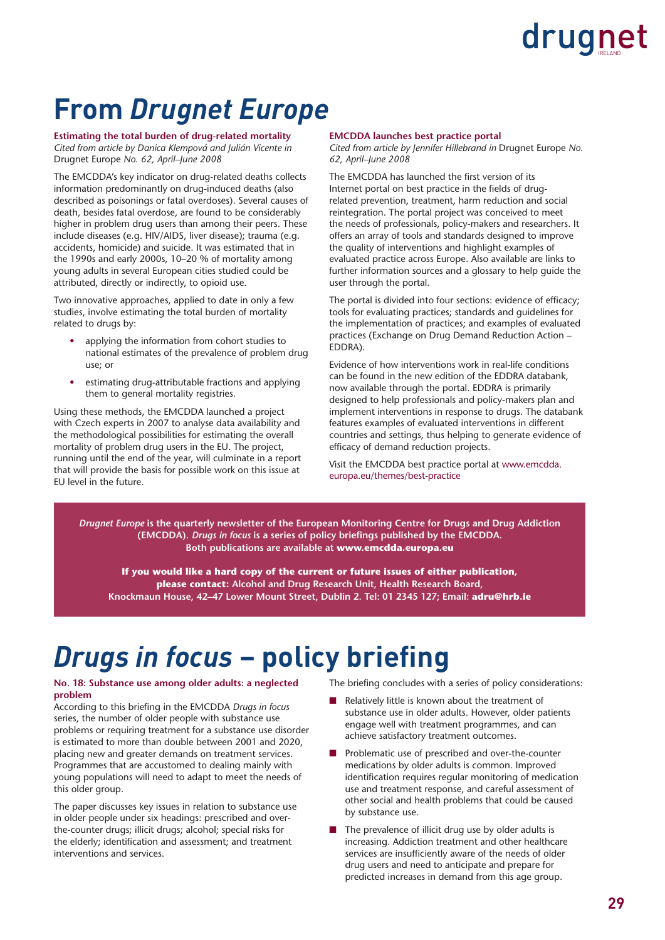### **From** *Drugnet Europe*

**Estimating the total burden of drug-related mortality** *Cited from article by Danica Klempová and Julián Vicente in*  Drugnet Europe *No. 62, April–June 2008* 

The EMCDDA's key indicator on drug-related deaths collects information predominantly on drug-induced deaths (also described as poisonings or fatal overdoses). Several causes of death, besides fatal overdose, are found to be considerably higher in problem drug users than among their peers. These include diseases (e.g. HIV/AIDS, liver disease); trauma (e.g. accidents, homicide) and suicide. It was estimated that in the 1990s and early 2000s, 10–20 % of mortality among young adults in several European cities studied could be attributed, directly or indirectly, to opioid use.

Two innovative approaches, applied to date in only a few studies, involve estimating the total burden of mortality related to drugs by:

- applying the information from cohort studies to national estimates of the prevalence of problem drug use; or
- estimating drug-attributable fractions and applying them to general mortality registries.

Using these methods, the EMCDDA launched a project with Czech experts in 2007 to analyse data availability and the methodological possibilities for estimating the overall mortality of problem drug users in the EU. The project, running until the end of the year, will culminate in a report that will provide the basis for possible work on this issue at EU level in the future.

#### **EMCDDA launches best practice portal**

*Cited from article by Jennifer Hillebrand in* Drugnet Europe *No. 62, April–June 2008*

The EMCDDA has launched the first version of its Internet portal on best practice in the fields of drugrelated prevention, treatment, harm reduction and social reintegration. The portal project was conceived to meet the needs of professionals, policy-makers and researchers. It offers an array of tools and standards designed to improve the quality of interventions and highlight examples of evaluated practice across Europe. Also available are links to further information sources and a glossary to help guide the user through the portal.

The portal is divided into four sections: evidence of efficacy; tools for evaluating practices; standards and guidelines for the implementation of practices; and examples of evaluated practices (Exchange on Drug Demand Reduction Action – EDDRA).

Evidence of how interventions work in real-life conditions can be found in the new edition of the EDDRA databank, now available through the portal. EDDRA is primarily designed to help professionals and policy-makers plan and implement interventions in response to drugs. The databank features examples of evaluated interventions in different countries and settings, thus helping to generate evidence of efficacy of demand reduction projects.

Visit the EMCDDA best practice portal at www.emcdda. europa.eu/themes/best-practice

*Drugnet Europe* **is the quarterly newsletter of the European Monitoring Centre for Drugs and Drug Addiction**  (EMCDDA). *Drugs in focus* is a series of policy briefings published by the EMCDDA. **Both publications are available at www.emcdda.europa.eu**

**If you would like a hard copy of the current or future issues of either publication, please contact: Alcohol and Drug Research Unit, Health Research Board, Knockmaun House, 42–47 Lower Mount Street, Dublin 2. Tel: 01 2345 127; Email: adru@hrb.ie**

### *Drugs in focus* – policy briefing

#### **No. 18: Substance use among older adults: a neglected problem**

According to this briefing in the EMCDDA *Drugs in focus* series, the number of older people with substance use problems or requiring treatment for a substance use disorder is estimated to more than double between 2001 and 2020, placing new and greater demands on treatment services. Programmes that are accustomed to dealing mainly with young populations will need to adapt to meet the needs of this older group.

The paper discusses key issues in relation to substance use in older people under six headings: prescribed and overthe-counter drugs; illicit drugs; alcohol; special risks for the elderly; identification and assessment; and treatment interventions and services.

The briefing concludes with a series of policy considerations:

- Relatively little is known about the treatment of substance use in older adults. However, older patients engage well with treatment programmes, and can achieve satisfactory treatment outcomes.
- Problematic use of prescribed and over-the-counter medications by older adults is common. Improved identification requires reqular monitoring of medication use and treatment response, and careful assessment of other social and health problems that could be caused by substance use.
- The prevalence of illicit drug use by older adults is increasing. Addiction treatment and other healthcare services are insufficiently aware of the needs of older drug users and need to anticipate and prepare for predicted increases in demand from this age group.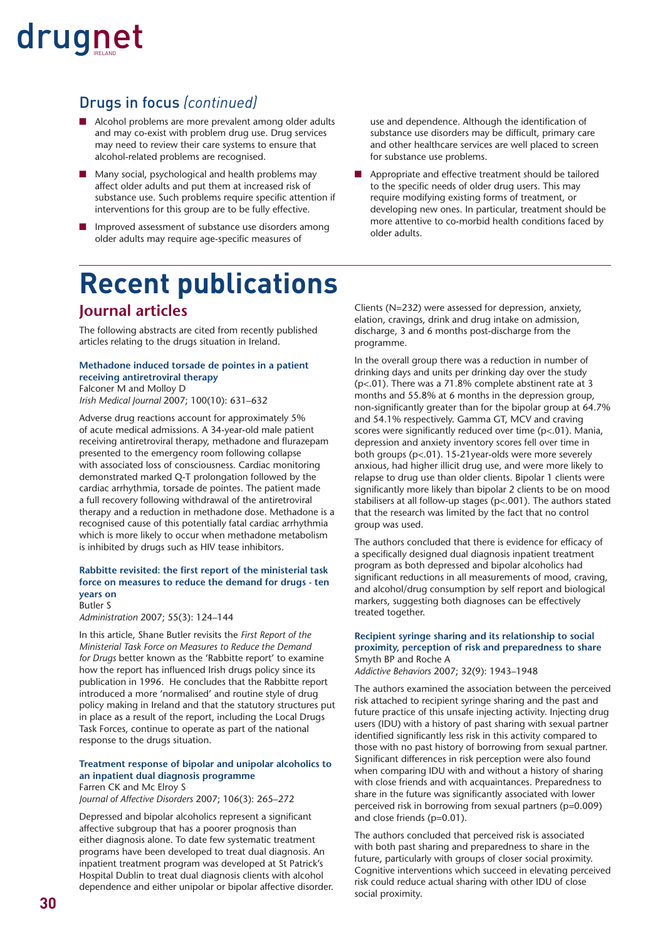#### Drugs in focus *(continued)*

- Alcohol problems are more prevalent among older adults and may co-exist with problem drug use. Drug services may need to review their care systems to ensure that alcohol-related problems are recognised.
- Many social, psychological and health problems may affect older adults and put them at increased risk of substance use. Such problems require specific attention if interventions for this group are to be fully effective.
- Improved assessment of substance use disorders among older adults may require age-specific measures of

use and dependence. Although the identification of substance use disorders may be difficult, primary care and other healthcare services are well placed to screen for substance use problems.

Appropriate and effective treatment should be tailored to the specific needs of older drug users. This may require modifying existing forms of treatment, or developing new ones. In particular, treatment should be more attentive to co-morbid health conditions faced by older adults.

### **Recent publications Journal articles**

The following abstracts are cited from recently published articles relating to the drugs situation in Ireland.

#### **Methadone induced torsade de pointes in a patient receiving antiretroviral therapy** Falconer M and Molloy D

*Irish Medical Journal* 2007; 100(10): 631–632

Adverse drug reactions account for approximately 5% of acute medical admissions. A 34-year-old male patient receiving antiretroviral therapy, methadone and flurazepam presented to the emergency room following collapse with associated loss of consciousness. Cardiac monitoring demonstrated marked Q-T prolongation followed by the cardiac arrhythmia, torsade de pointes. The patient made a full recovery following withdrawal of the antiretroviral therapy and a reduction in methadone dose. Methadone is a recognised cause of this potentially fatal cardiac arrhythmia which is more likely to occur when methadone metabolism is inhibited by drugs such as HIV tease inhibitors.

#### **Rabbitte revisited: the first report of the ministerial task force on measures to reduce the demand for drugs - ten years on** Butler S

*Administration* 2007; 55(3): 124–144

In this article, Shane Butler revisits the *First Report of the Ministerial Task Force on Measures to Reduce the Demand for Drugs* better known as the 'Rabbitte report' to examine how the report has influenced Irish drugs policy since its publication in 1996. He concludes that the Rabbitte report introduced a more 'normalised' and routine style of drug policy making in Ireland and that the statutory structures put in place as a result of the report, including the Local Drugs Task Forces, continue to operate as part of the national response to the drugs situation.

#### **Treatment response of bipolar and unipolar alcoholics to an inpatient dual diagnosis programme** Farren CK and Mc Elroy S

*Journal of Affective Disorders* 2007; 106(3): 265–272

Depressed and bipolar alcoholics represent a significant affective subgroup that has a poorer prognosis than either diagnosis alone. To date few systematic treatment programs have been developed to treat dual diagnosis. An inpatient treatment program was developed at St Patrick's Hospital Dublin to treat dual diagnosis clients with alcohol dependence and either unipolar or bipolar affective disorder. Clients (N=232) were assessed for depression, anxiety, elation, cravings, drink and drug intake on admission, discharge, 3 and 6 months post-discharge from the programme.

In the overall group there was a reduction in number of drinking days and units per drinking day over the study (p<.01). There was a 71.8% complete abstinent rate at 3 months and 55.8% at 6 months in the depression group, non-significantly greater than for the bipolar group at 64.7% and 54.1% respectively. Gamma GT, MCV and craving scores were significantly reduced over time ( $p$ <.01). Mania, depression and anxiety inventory scores fell over time in both groups (p<.01). 15-21year-olds were more severely anxious, had higher illicit drug use, and were more likely to relapse to drug use than older clients. Bipolar 1 clients were significantly more likely than bipolar 2 clients to be on mood stabilisers at all follow-up stages (p<.001). The authors stated that the research was limited by the fact that no control group was used.

The authors concluded that there is evidence for efficacy of a specifically designed dual diagnosis inpatient treatment program as both depressed and bipolar alcoholics had significant reductions in all measurements of mood, craving, and alcohol/drug consumption by self report and biological markers, suggesting both diagnoses can be effectively treated together.

#### **Recipient syringe sharing and its relationship to social proximity, perception of risk and preparedness to share** Smyth BP and Roche A

*Addictive Behaviors* 2007; 32(9): 1943–1948

The authors examined the association between the perceived risk attached to recipient syringe sharing and the past and future practice of this unsafe injecting activity. Injecting drug users (IDU) with a history of past sharing with sexual partner identified significantly less risk in this activity compared to those with no past history of borrowing from sexual partner. Significant differences in risk perception were also found when comparing IDU with and without a history of sharing with close friends and with acquaintances. Preparedness to share in the future was significantly associated with lower perceived risk in borrowing from sexual partners (p=0.009) and close friends (p=0.01).

The authors concluded that perceived risk is associated with both past sharing and preparedness to share in the future, particularly with groups of closer social proximity. Cognitive interventions which succeed in elevating perceived risk could reduce actual sharing with other IDU of close social proximity.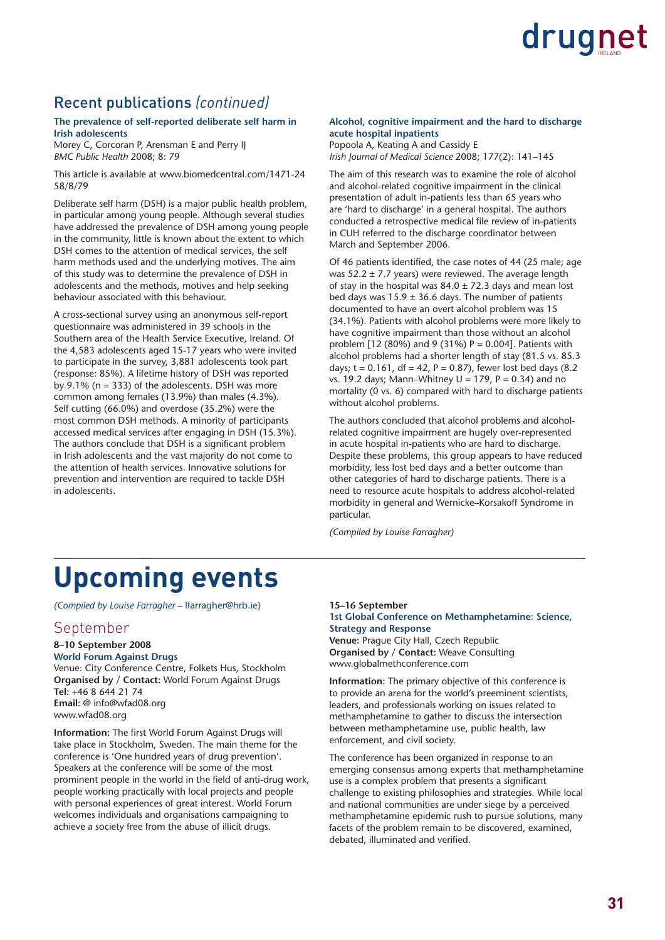

#### Recent publications *(continued)*

#### **The prevalence of self-reported deliberate self harm in Irish adolescents**

Morey C, Corcoran P, Arensman E and Perry IJ *BMC Public Health* 2008; 8: 79

This article is available at www.biomedcentral.com/1471-24 58/8/79

Deliberate self harm (DSH) is a major public health problem, in particular among young people. Although several studies have addressed the prevalence of DSH among young people in the community, little is known about the extent to which DSH comes to the attention of medical services, the self harm methods used and the underlying motives. The aim of this study was to determine the prevalence of DSH in adolescents and the methods, motives and help seeking behaviour associated with this behaviour.

A cross-sectional survey using an anonymous self-report questionnaire was administered in 39 schools in the Southern area of the Health Service Executive, Ireland. Of the 4,583 adolescents aged 15-17 years who were invited to participate in the survey, 3,881 adolescents took part (response: 85%). A lifetime history of DSH was reported by  $9.1\%$  (n = 333) of the adolescents. DSH was more common among females (13.9%) than males (4.3%). Self cutting (66.0%) and overdose (35.2%) were the most common DSH methods. A minority of participants accessed medical services after engaging in DSH (15.3%). The authors conclude that DSH is a significant problem in Irish adolescents and the vast majority do not come to the attention of health services. Innovative solutions for prevention and intervention are required to tackle DSH in adolescents.

#### **Alcohol, cognitive impairment and the hard to discharge acute hospital inpatients**

Popoola A, Keating A and Cassidy E *Irish Journal of Medical Science* 2008; 177(2): 141–145

The aim of this research was to examine the role of alcohol and alcohol-related cognitive impairment in the clinical presentation of adult in-patients less than 65 years who are 'hard to discharge' in a general hospital. The authors conducted a retrospective medical file review of in-patients in CUH referred to the discharge coordinator between March and September 2006.

Of 46 patients identified, the case notes of 44 (25 male; age was  $52.2 \pm 7.7$  years) were reviewed. The average length of stay in the hospital was  $84.0 \pm 72.3$  days and mean lost bed days was  $15.9 \pm 36.6$  days. The number of patients documented to have an overt alcohol problem was 15 (34.1%). Patients with alcohol problems were more likely to have cognitive impairment than those without an alcohol problem [12 (80%) and 9 (31%)  $P = 0.004$ ]. Patients with alcohol problems had a shorter length of stay (81.5 vs. 85.3 days;  $t = 0.161$ , df = 42, P = 0.87), fewer lost bed days (8.2) vs. 19.2 days: Mann–Whitney  $U = 179$ ,  $P = 0.34$ ) and no mortality (0 vs. 6) compared with hard to discharge patients without alcohol problems.

The authors concluded that alcohol problems and alcoholrelated cognitive impairment are hugely over-represented in acute hospital in-patients who are hard to discharge. Despite these problems, this group appears to have reduced morbidity, less lost bed days and a better outcome than other categories of hard to discharge patients. There is a need to resource acute hospitals to address alcohol-related morbidity in general and Wernicke–Korsakoff Syndrome in particular.

*(Compiled by Louise Farragher)*

### **Upcoming events**

*(Compiled by Louise Farragher* – lfarragher@hrb.ie)

#### September

#### **8–10 September 2008 World Forum Against Drugs**

Venue: City Conference Centre, Folkets Hus, Stockholm **Organised by / Contact: World Forum Against Drugs Tel:** +46 8 644 21 74 **Email:** @ info@wfad08.org www.wfad08.org

**Information:** The first World Forum Against Drugs will take place in Stockholm, Sweden. The main theme for the conference is 'One hundred years of drug prevention'. Speakers at the conference will be some of the most prominent people in the world in the field of anti-drug work, people working practically with local projects and people with personal experiences of great interest. World Forum welcomes individuals and organisations campaigning to achieve a society free from the abuse of illicit drugs.

#### **15–16 September**

#### **1st Global Conference on Methamphetamine: Science, Strategy and Response**

**Venue:** Prague City Hall, Czech Republic **Organised by / Contact:** Weave Consulting www.globalmethconference.com

**Information:** The primary objective of this conference is to provide an arena for the world's preeminent scientists, leaders, and professionals working on issues related to methamphetamine to gather to discuss the intersection between methamphetamine use, public health, law enforcement, and civil society.

The conference has been organized in response to an emerging consensus among experts that methamphetamine use is a complex problem that presents a significant challenge to existing philosophies and strategies. While local and national communities are under siege by a perceived methamphetamine epidemic rush to pursue solutions, many facets of the problem remain to be discovered, examined, debated, illuminated and verified.